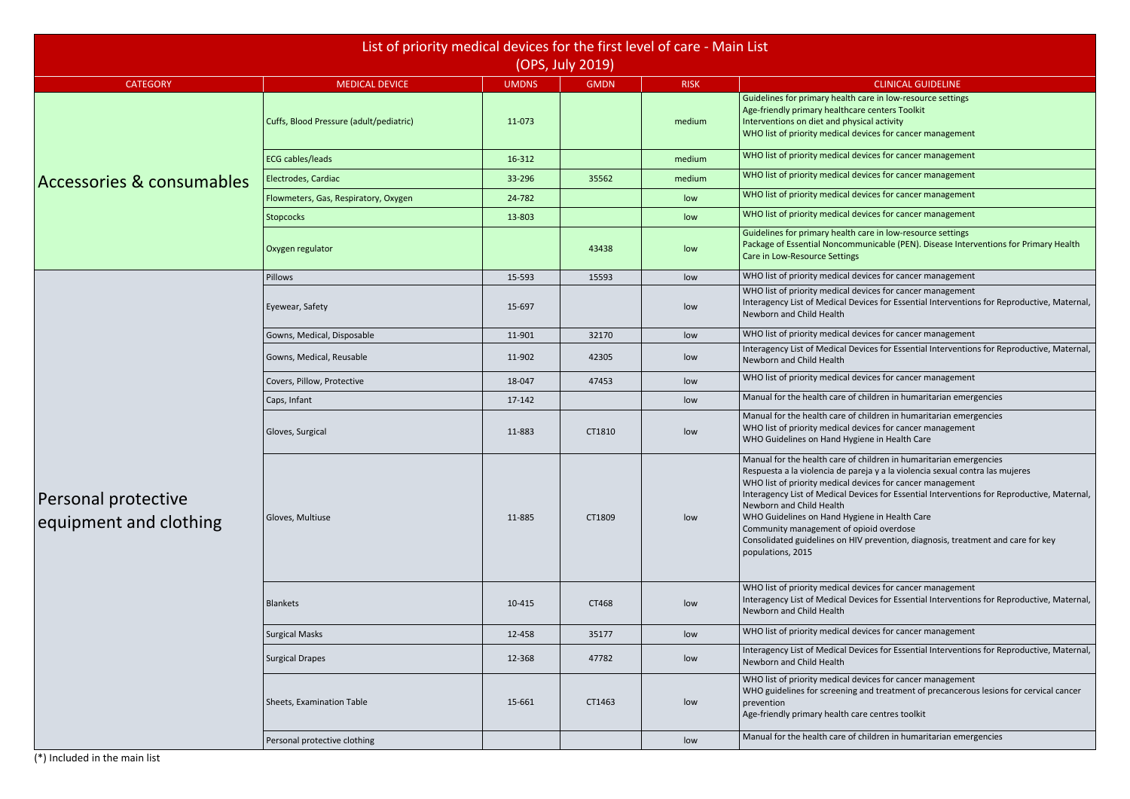(\*) Included in the main list

h care in low-resource settings care centers Toolkit

devices for cancer management

devices for cancer management

devices for cancer management

devices for cancer management

devices for cancer management

h care in low-resource settings mmunicable (PEN). Disease Interventions for Primary Health

devices for cancer management

devices for cancer management

Devices for Essential Interventions for Reproductive, Maternal,

devices for cancer management

Devices for Essential Interventions for Reproductive, Maternal,

devices for cancer management

of children in humaritarian emergencies

of children in humaritarian emergencies devices for cancer management waiene in Health Care

of children in humaritarian emergencies pareja y a la violencia sexual contra las mujeres devices for cancer management Devices for Essential Interventions for Reproductive, Maternal,

HIV prevention, diagnosis, treatment and care for key

devices for cancer management Devices for Essential Interventions for Reproductive, Maternal,

devices for cancer management

Devices for Essential Interventions for Reproductive, Maternal,

devices for cancer management g and treatment of precancerous lesions for cervical cancer

of children in humaritarian emergencies

|                                               | List of priority medical devices for the first level of care - Main List |                        |                  |                       |                                                                                                                                                                                                                                                                                                                                                                                                                                                            |
|-----------------------------------------------|--------------------------------------------------------------------------|------------------------|------------------|-----------------------|------------------------------------------------------------------------------------------------------------------------------------------------------------------------------------------------------------------------------------------------------------------------------------------------------------------------------------------------------------------------------------------------------------------------------------------------------------|
|                                               |                                                                          |                        | (OPS, July 2019) |                       |                                                                                                                                                                                                                                                                                                                                                                                                                                                            |
| <b>CATEGORY</b>                               | <b>MEDICAL DEVICE</b><br>Cuffs, Blood Pressure (adult/pediatric)         | <b>UMDNS</b><br>11-073 | <b>GMDN</b>      | <b>RISK</b><br>medium | <b>CLINICAL GUIDELINE</b><br>Guidelines for primary health care in low-resource settin<br>Age-friendly primary healthcare centers Toolkit<br>Interventions on diet and physical activity<br>WHO list of priority medical devices for cancer managem                                                                                                                                                                                                        |
|                                               | <b>ECG cables/leads</b>                                                  | 16-312                 |                  | medium                | WHO list of priority medical devices for cancer managem                                                                                                                                                                                                                                                                                                                                                                                                    |
| Accessories & consumables                     | Electrodes, Cardiac                                                      | 33-296                 | 35562            | medium                | WHO list of priority medical devices for cancer managem                                                                                                                                                                                                                                                                                                                                                                                                    |
|                                               | Flowmeters, Gas, Respiratory, Oxygen                                     | 24-782                 |                  | low                   | WHO list of priority medical devices for cancer managem                                                                                                                                                                                                                                                                                                                                                                                                    |
|                                               | Stopcocks                                                                | 13-803                 |                  | low                   | WHO list of priority medical devices for cancer managem                                                                                                                                                                                                                                                                                                                                                                                                    |
|                                               | Oxygen regulator                                                         |                        | 43438            | low                   | Guidelines for primary health care in low-resource settin<br>Package of Essential Noncommunicable (PEN). Disease In<br>Care in Low-Resource Settings                                                                                                                                                                                                                                                                                                       |
|                                               | Pillows                                                                  | 15-593                 | 15593            | low                   | WHO list of priority medical devices for cancer managem                                                                                                                                                                                                                                                                                                                                                                                                    |
|                                               | Eyewear, Safety                                                          | 15-697                 |                  | low                   | WHO list of priority medical devices for cancer managem<br>Interagency List of Medical Devices for Essential Interver<br>Newborn and Child Health                                                                                                                                                                                                                                                                                                          |
|                                               | Gowns, Medical, Disposable                                               | 11-901                 | 32170            | low                   | WHO list of priority medical devices for cancer managem                                                                                                                                                                                                                                                                                                                                                                                                    |
|                                               | Gowns, Medical, Reusable                                                 | 11-902                 | 42305            | low                   | Interagency List of Medical Devices for Essential Interver<br>Newborn and Child Health                                                                                                                                                                                                                                                                                                                                                                     |
|                                               | Covers, Pillow, Protective                                               | 18-047                 | 47453            | low                   | WHO list of priority medical devices for cancer managem                                                                                                                                                                                                                                                                                                                                                                                                    |
|                                               | Caps, Infant                                                             | 17-142                 |                  | low                   | Manual for the health care of children in humaritarian er                                                                                                                                                                                                                                                                                                                                                                                                  |
|                                               | Gloves, Surgical                                                         | 11-883                 | CT1810           | low                   | Manual for the health care of children in humaritarian er<br>WHO list of priority medical devices for cancer managem<br>WHO Guidelines on Hand Hygiene in Health Care                                                                                                                                                                                                                                                                                      |
| Personal protective<br>equipment and clothing | Gloves, Multiuse                                                         | 11-885                 | CT1809           | low                   | Manual for the health care of children in humaritarian er<br>Respuesta a la violencia de pareja y a la violencia sexual<br>WHO list of priority medical devices for cancer managem<br>Interagency List of Medical Devices for Essential Interver<br>Newborn and Child Health<br>WHO Guidelines on Hand Hygiene in Health Care<br>Community management of opioid overdose<br>Consolidated guidelines on HIV prevention, diagnosis, tre<br>populations, 2015 |
|                                               | <b>Blankets</b>                                                          | 10-415                 | CT468            | low                   | WHO list of priority medical devices for cancer managem<br>Interagency List of Medical Devices for Essential Interver<br>Newborn and Child Health                                                                                                                                                                                                                                                                                                          |
|                                               | <b>Surgical Masks</b>                                                    | 12-458                 | 35177            | low                   | WHO list of priority medical devices for cancer managem                                                                                                                                                                                                                                                                                                                                                                                                    |
|                                               | <b>Surgical Drapes</b>                                                   | 12-368                 | 47782            | low                   | Interagency List of Medical Devices for Essential Interver<br>Newborn and Child Health                                                                                                                                                                                                                                                                                                                                                                     |
|                                               | Sheets, Examination Table                                                | 15-661                 | CT1463           | low                   | WHO list of priority medical devices for cancer managem<br>WHO guidelines for screening and treatment of precance<br>prevention<br>Age-friendly primary health care centres toolkit                                                                                                                                                                                                                                                                        |
|                                               | Personal protective clothing                                             |                        |                  | low                   | Manual for the health care of children in humaritarian er                                                                                                                                                                                                                                                                                                                                                                                                  |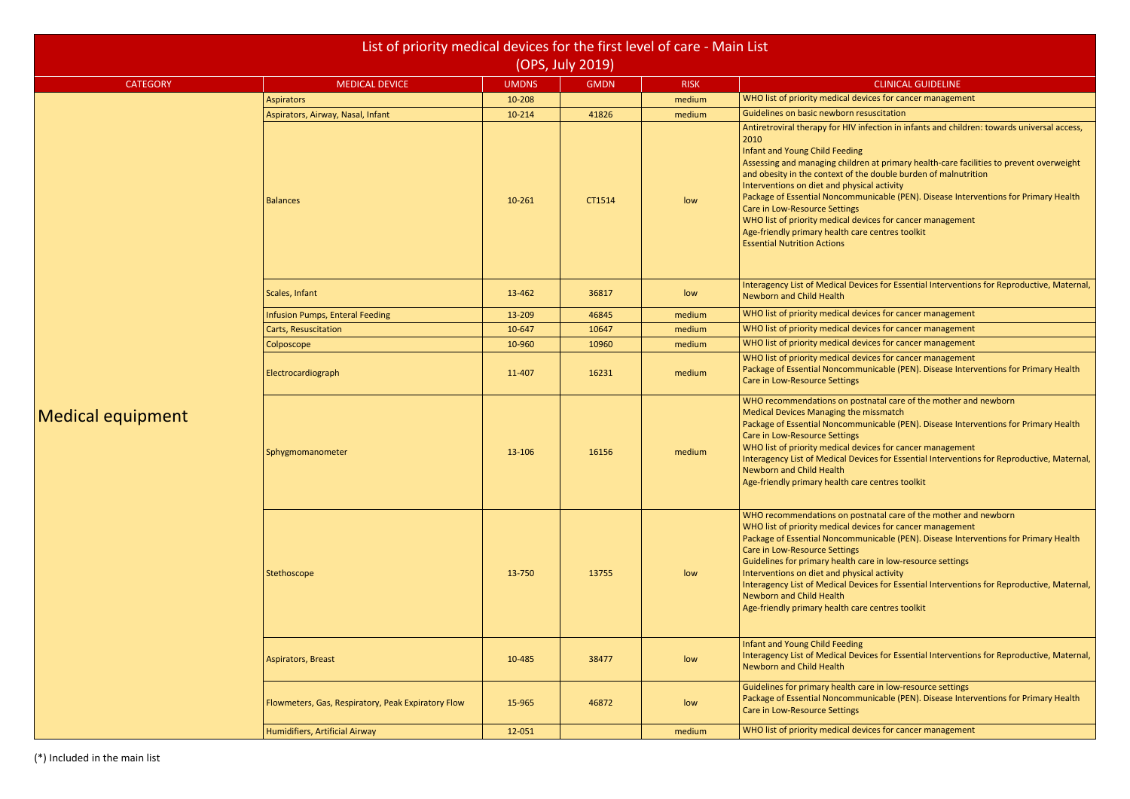devices for cancer management

IV infection in infants and children: towards universal access,

Idren at primary health-care facilities to prevent overweight f the double burden of malnutrition

mmunicable (PEN). Disease Interventions for Primary Health

devices for cancer management

Devices for Essential Interventions for Reproductive, Maternal,

I devices for cancer management

devices for cancer management

devices for cancer management

devices for cancer management

nmunicable (PEN). Disease Interventions for Primary Health

postnatal care of the mother and newborn

mmunicable (PEN). Disease Interventions for Primary Health

devices for cancer management

Devices for Essential Interventions for Reproductive, Maternal,

postnatal care of the mother and newborn

devices for cancer management

mmunicable (PEN). Disease Interventions for Primary Health

th care in low-resource settings

Devices for Essential Interventions for Reproductive, Maternal,

Devices for Essential Interventions for Reproductive, Maternal,

th care in low-resource settings mmunicable (PEN). Disease Interventions for Primary Health

I devices for cancer management

|                          |                                                    | List of priority medical devices for the first level of care - Main List<br>(OPS, July 2019) |             |             |                                                                                                                                                                                                                                                                                                                                                                                                                                                                                                                           |  |  |  |  |
|--------------------------|----------------------------------------------------|----------------------------------------------------------------------------------------------|-------------|-------------|---------------------------------------------------------------------------------------------------------------------------------------------------------------------------------------------------------------------------------------------------------------------------------------------------------------------------------------------------------------------------------------------------------------------------------------------------------------------------------------------------------------------------|--|--|--|--|
| <b>CATEGORY</b>          | <b>MEDICAL DEVICE</b>                              | <b>UMDNS</b>                                                                                 | <b>GMDN</b> | <b>RISK</b> | <b>CLINICAL GUIDELINE</b>                                                                                                                                                                                                                                                                                                                                                                                                                                                                                                 |  |  |  |  |
|                          | <b>Aspirators</b>                                  | 10-208                                                                                       |             | medium      | WHO list of priority medical devices for cancer managem                                                                                                                                                                                                                                                                                                                                                                                                                                                                   |  |  |  |  |
|                          | Aspirators, Airway, Nasal, Infant                  | 10-214                                                                                       | 41826       | medium      | Guidelines on basic newborn resuscitation                                                                                                                                                                                                                                                                                                                                                                                                                                                                                 |  |  |  |  |
|                          | <b>Balances</b>                                    | 10-261                                                                                       | CT1514      | low         | Antiretroviral therapy for HIV infection in infants and chi<br>2010<br>Infant and Young Child Feeding<br>Assessing and managing children at primary health-care<br>and obesity in the context of the double burden of maln<br>Interventions on diet and physical activity<br>Package of Essential Noncommunicable (PEN). Disease In<br>Care in Low-Resource Settings<br>WHO list of priority medical devices for cancer managem<br>Age-friendly primary health care centres toolkit<br><b>Essential Nutrition Actions</b> |  |  |  |  |
|                          | Scales, Infant                                     | 13-462                                                                                       | 36817       | low         | Interagency List of Medical Devices for Essential Interver<br><b>Newborn and Child Health</b>                                                                                                                                                                                                                                                                                                                                                                                                                             |  |  |  |  |
|                          | <b>Infusion Pumps, Enteral Feeding</b>             | 13-209                                                                                       | 46845       | medium      | WHO list of priority medical devices for cancer managem                                                                                                                                                                                                                                                                                                                                                                                                                                                                   |  |  |  |  |
|                          | Carts, Resuscitation                               | 10-647                                                                                       | 10647       | medium      | WHO list of priority medical devices for cancer managem                                                                                                                                                                                                                                                                                                                                                                                                                                                                   |  |  |  |  |
|                          | Colposcope                                         | 10-960                                                                                       | 10960       | medium      | WHO list of priority medical devices for cancer managem                                                                                                                                                                                                                                                                                                                                                                                                                                                                   |  |  |  |  |
|                          | Electrocardiograph                                 | 11-407                                                                                       | 16231       | medium      | WHO list of priority medical devices for cancer managem<br>Package of Essential Noncommunicable (PEN). Disease Ir<br>Care in Low-Resource Settings                                                                                                                                                                                                                                                                                                                                                                        |  |  |  |  |
| <b>Medical equipment</b> | Sphygmomanometer                                   | 13-106                                                                                       | 16156       | medium      | WHO recommendations on postnatal care of the mother<br>Medical Devices Managing the missmatch<br>Package of Essential Noncommunicable (PEN). Disease In<br>Care in Low-Resource Settings<br>WHO list of priority medical devices for cancer managem<br>Interagency List of Medical Devices for Essential Interver<br>Newborn and Child Health<br>Age-friendly primary health care centres toolkit                                                                                                                         |  |  |  |  |
|                          | Stethoscope                                        | 13-750                                                                                       | 13755       | low         | WHO recommendations on postnatal care of the mother<br>WHO list of priority medical devices for cancer managem<br>Package of Essential Noncommunicable (PEN). Disease In<br>Care in Low-Resource Settings<br>Guidelines for primary health care in low-resource settin<br>Interventions on diet and physical activity<br>Interagency List of Medical Devices for Essential Interver<br>Newborn and Child Health<br>Age-friendly primary health care centres toolkit                                                       |  |  |  |  |
|                          | <b>Aspirators, Breast</b>                          | 10-485                                                                                       | 38477       | low         | Infant and Young Child Feeding<br>Interagency List of Medical Devices for Essential Interver<br><b>Newborn and Child Health</b>                                                                                                                                                                                                                                                                                                                                                                                           |  |  |  |  |
|                          | Flowmeters, Gas, Respiratory, Peak Expiratory Flow | 15-965                                                                                       | 46872       | low         | Guidelines for primary health care in low-resource settin<br>Package of Essential Noncommunicable (PEN). Disease In<br>Care in Low-Resource Settings                                                                                                                                                                                                                                                                                                                                                                      |  |  |  |  |
|                          | Humidifiers, Artificial Airway                     | 12-051                                                                                       |             | medium      | WHO list of priority medical devices for cancer managem                                                                                                                                                                                                                                                                                                                                                                                                                                                                   |  |  |  |  |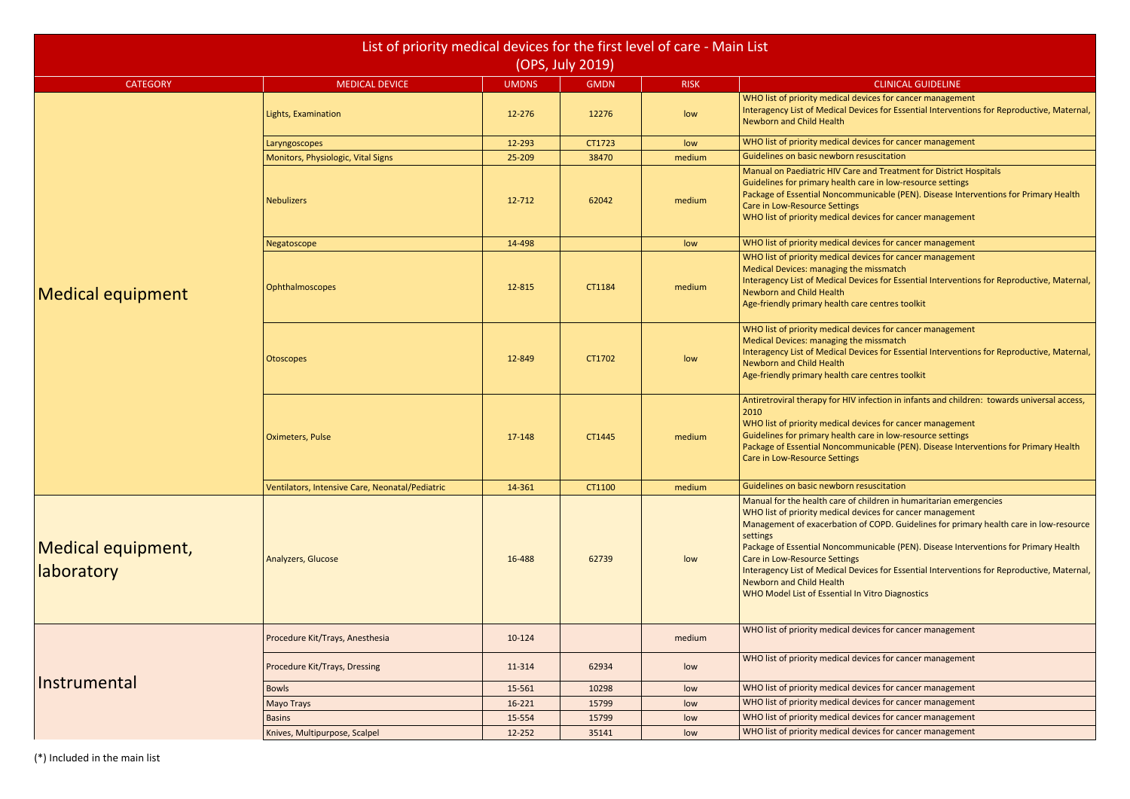devices for cancer management Devices for Essential Interventions for Reproductive, Maternal,

devices for cancer management

are and Treatment for District Hospitals

th care in low-resource settings

mmunicable (PEN). Disease Interventions for Primary Health

devices for cancer management

devices for cancer management

devices for cancer management

Devices for Essential Interventions for Reproductive, Maternal,

care centres toolkit

devices for cancer management the missmatch Devices for Essential Interventions for Reproductive, Maternal,

care centres toolkit

IV infection in infants and children: towards universal access,

devices for cancer management

th care in low-resource settings

mmunicable (PEN). Disease Interventions for Primary Health

of children in humaritarian emergencies devices for cancer management on of COPD. Guidelines for primary health care in low-resource

mmunicable (PEN). Disease Interventions for Primary Health

Devices for Essential Interventions for Reproductive, Maternal,

I In Vitro Diagnostics

devices for cancer management

devices for cancer management

devices for cancer management

devices for cancer management

devices for cancer management

**I** devices for cancer management

|                                  | List of priority medical devices for the first level of care - Main List |              | (OPS, July 2019) |             |                                                                                                                                                                                                                                                                                                                                                                     |
|----------------------------------|--------------------------------------------------------------------------|--------------|------------------|-------------|---------------------------------------------------------------------------------------------------------------------------------------------------------------------------------------------------------------------------------------------------------------------------------------------------------------------------------------------------------------------|
| <b>CATEGORY</b>                  | <b>MEDICAL DEVICE</b>                                                    | <b>UMDNS</b> | <b>GMDN</b>      | <b>RISK</b> | <b>CLINICA</b>                                                                                                                                                                                                                                                                                                                                                      |
|                                  | Lights, Examination                                                      | 12-276       | 12276            | low         | WHO list of priority medical devices for ca<br><b>Interagency List of Medical Devices for Ess</b><br><b>Newborn and Child Health</b>                                                                                                                                                                                                                                |
|                                  | Laryngoscopes                                                            | 12-293       | CT1723           | low         | WHO list of priority medical devices for ca                                                                                                                                                                                                                                                                                                                         |
|                                  | Monitors, Physiologic, Vital Signs                                       | 25-209       | 38470            | medium      | Guidelines on basic newborn resuscitation                                                                                                                                                                                                                                                                                                                           |
|                                  | <b>Nebulizers</b>                                                        | 12-712       | 62042            | medium      | Manual on Paediatric HIV Care and Treatm<br>Guidelines for primary health care in low-<br>Package of Essential Noncommunicable (P<br><b>Care in Low-Resource Settings</b><br>WHO list of priority medical devices for ca                                                                                                                                            |
|                                  | Negatoscope                                                              | 14-498       |                  | low         | WHO list of priority medical devices for ca                                                                                                                                                                                                                                                                                                                         |
| <b>Medical equipment</b>         | Ophthalmoscopes                                                          | 12-815       | CT1184           | medium      | WHO list of priority medical devices for ca<br>Medical Devices: managing the missmatch<br><b>Interagency List of Medical Devices for Ess</b><br><b>Newborn and Child Health</b><br>Age-friendly primary health care centres to                                                                                                                                      |
|                                  | Otoscopes                                                                | 12-849       | CT1702           | low         | WHO list of priority medical devices for ca<br>Medical Devices: managing the missmatch<br>Interagency List of Medical Devices for Ess<br>Newborn and Child Health<br>Age-friendly primary health care centres to                                                                                                                                                    |
|                                  | <b>Oximeters, Pulse</b>                                                  | 17-148       | CT1445           | medium      | Antiretroviral therapy for HIV infection in i<br>2010<br>WHO list of priority medical devices for ca<br>Guidelines for primary health care in low-<br>Package of Essential Noncommunicable (P<br>Care in Low-Resource Settings                                                                                                                                      |
|                                  | Ventilators, Intensive Care, Neonatal/Pediatric                          | 14-361       | CT1100           | medium      | Guidelines on basic newborn resuscitation                                                                                                                                                                                                                                                                                                                           |
| Medical equipment,<br>laboratory | Analyzers, Glucose                                                       | 16-488       | 62739            | low         | Manual for the health care of children in h<br>WHO list of priority medical devices for ca<br>Management of exacerbation of COPD. Gu<br>settings<br>Package of Essential Noncommunicable (P<br><b>Care in Low-Resource Settings</b><br><b>Interagency List of Medical Devices for Ess</b><br>Newborn and Child Health<br>WHO Model List of Essential In Vitro Diagr |
|                                  | Procedure Kit/Trays, Anesthesia                                          | 10-124       |                  | medium      | WHO list of priority medical devices for ca                                                                                                                                                                                                                                                                                                                         |
|                                  | Procedure Kit/Trays, Dressing                                            | 11-314       | 62934            | low         | WHO list of priority medical devices for ca                                                                                                                                                                                                                                                                                                                         |
| Instrumental                     | <b>Bowls</b>                                                             | 15-561       | 10298            | low         | WHO list of priority medical devices for ca                                                                                                                                                                                                                                                                                                                         |
|                                  | <b>Mayo Trays</b>                                                        | 16-221       | 15799            | low         | WHO list of priority medical devices for ca                                                                                                                                                                                                                                                                                                                         |
|                                  | <b>Basins</b>                                                            | 15-554       | 15799            | low         | WHO list of priority medical devices for ca                                                                                                                                                                                                                                                                                                                         |
|                                  | Knives, Multipurpose, Scalpel                                            | 12-252       | 35141            | low         | WHO list of priority medical devices for ca                                                                                                                                                                                                                                                                                                                         |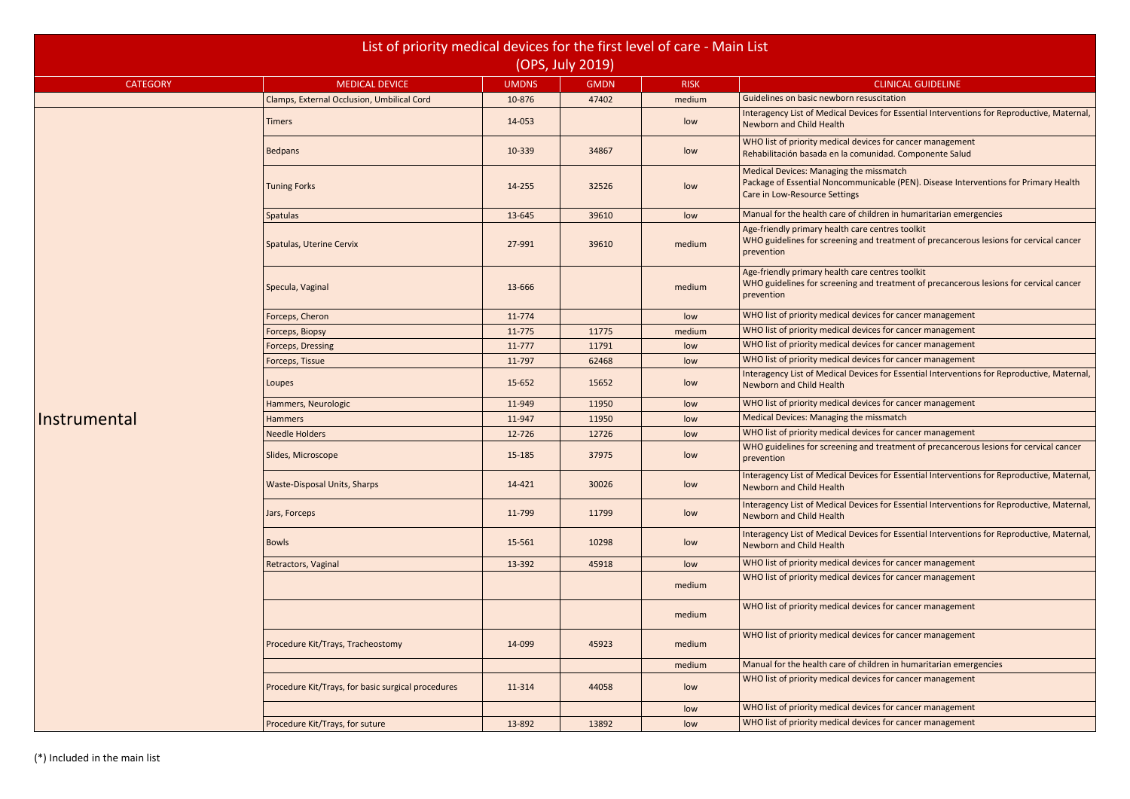Devices for Essential Interventions for Reproductive, Maternal,

devices for cancer management comunidad. Componente Salud

the missmatch

mmunicable (PEN). Disease Interventions for Primary Health

of children in humaritarian emergencies

care centres toolkit

ng and treatment of precancerous lesions for cervical cancer

care centres toolkit

ng and treatment of precancerous lesions for cervical cancer

**I** devices for cancer management

devices for cancer management

devices for cancer management

devices for cancer management

Devices for Essential Interventions for Reproductive, Maternal,

devices for cancer management

**I** devices for cancer management

g and treatment of precancerous lesions for cervical cancer

Devices for Essential Interventions for Reproductive, Maternal,

Devices for Essential Interventions for Reproductive, Maternal,

Devices for Essential Interventions for Reproductive, Maternal,

devices for cancer management

devices for cancer management

devices for cancer management

devices for cancer management

of children in humaritarian emergencies

devices for cancer management

devices for cancer management **devices for cancer management** 

|                 | List of priority medical devices for the first level of care - Main List |              |                  |             |                                                                                                                     |
|-----------------|--------------------------------------------------------------------------|--------------|------------------|-------------|---------------------------------------------------------------------------------------------------------------------|
|                 |                                                                          |              | (OPS, July 2019) |             |                                                                                                                     |
| <b>CATEGORY</b> | <b>MEDICAL DEVICE</b>                                                    | <b>UMDNS</b> | <b>GMDN</b>      | <b>RISK</b> | <b>CLINICA</b>                                                                                                      |
|                 | Clamps, External Occlusion, Umbilical Cord                               | 10-876       | 47402            | medium      | Guidelines on basic newborn resuscitation                                                                           |
|                 | <b>Timers</b>                                                            | 14-053       |                  | low         | <b>Interagency List of Medical Devices for Ess</b><br><b>Newborn and Child Health</b>                               |
|                 | <b>Bedpans</b>                                                           | 10-339       | 34867            | low         | WHO list of priority medical devices for car<br>Rehabilitación basada en la comunidad. Co                           |
|                 | <b>Tuning Forks</b>                                                      | 14-255       | 32526            | low         | Medical Devices: Managing the missmatch<br>Package of Essential Noncommunicable (P<br>Care in Low-Resource Settings |
|                 | <b>Spatulas</b>                                                          | 13-645       | 39610            | low         | Manual for the health care of children in h                                                                         |
|                 | Spatulas, Uterine Cervix                                                 | 27-991       | 39610            | medium      | Age-friendly primary health care centres to<br>WHO guidelines for screening and treatme<br>prevention               |
|                 | Specula, Vaginal                                                         | 13-666       |                  | medium      | Age-friendly primary health care centres to<br>WHO guidelines for screening and treatme<br>prevention               |
|                 | Forceps, Cheron                                                          | 11-774       |                  | low         | WHO list of priority medical devices for car                                                                        |
|                 | Forceps, Biopsy                                                          | 11-775       | 11775            | medium      | WHO list of priority medical devices for car                                                                        |
|                 | Forceps, Dressing                                                        | 11-777       | 11791            | low         | WHO list of priority medical devices for car                                                                        |
|                 | Forceps, Tissue                                                          | 11-797       | 62468            | low         | WHO list of priority medical devices for car                                                                        |
|                 | Loupes                                                                   | 15-652       | 15652            | low         | <b>Interagency List of Medical Devices for Ess</b><br><b>Newborn and Child Health</b>                               |
|                 | Hammers, Neurologic                                                      | 11-949       | 11950            | low         | WHO list of priority medical devices for car                                                                        |
| Instrumental    | <b>Hammers</b>                                                           | 11-947       | 11950            | low         | <b>Medical Devices: Managing the missmatch</b>                                                                      |
|                 | <b>Needle Holders</b>                                                    | 12-726       | 12726            | low         | WHO list of priority medical devices for car                                                                        |
|                 | Slides, Microscope                                                       | 15-185       | 37975            | low         | WHO guidelines for screening and treatme<br>prevention                                                              |
|                 | <b>Waste-Disposal Units, Sharps</b>                                      | 14-421       | 30026            | low         | <b>Interagency List of Medical Devices for Ess</b><br>Newborn and Child Health                                      |
|                 | Jars, Forceps                                                            | 11-799       | 11799            | low         | <b>Interagency List of Medical Devices for Ess</b><br>Newborn and Child Health                                      |
|                 | <b>Bowls</b>                                                             | 15-561       | 10298            | low         | <b>Interagency List of Medical Devices for Ess</b><br>Newborn and Child Health                                      |
|                 | Retractors, Vaginal                                                      | 13-392       | 45918            | low         | WHO list of priority medical devices for car                                                                        |
|                 |                                                                          |              |                  | medium      | WHO list of priority medical devices for car                                                                        |
|                 |                                                                          |              |                  | medium      | WHO list of priority medical devices for car                                                                        |
|                 | Procedure Kit/Trays, Tracheostomy                                        | 14-099       | 45923            | medium      | WHO list of priority medical devices for car                                                                        |
|                 |                                                                          |              |                  | medium      | Manual for the health care of children in h                                                                         |
|                 | Procedure Kit/Trays, for basic surgical procedures                       | 11-314       | 44058            | low         | WHO list of priority medical devices for car                                                                        |
|                 |                                                                          |              |                  | low         | WHO list of priority medical devices for car                                                                        |
|                 | Procedure Kit/Trays, for suture                                          | 13-892       | 13892            | low         | WHO list of priority medical devices for car                                                                        |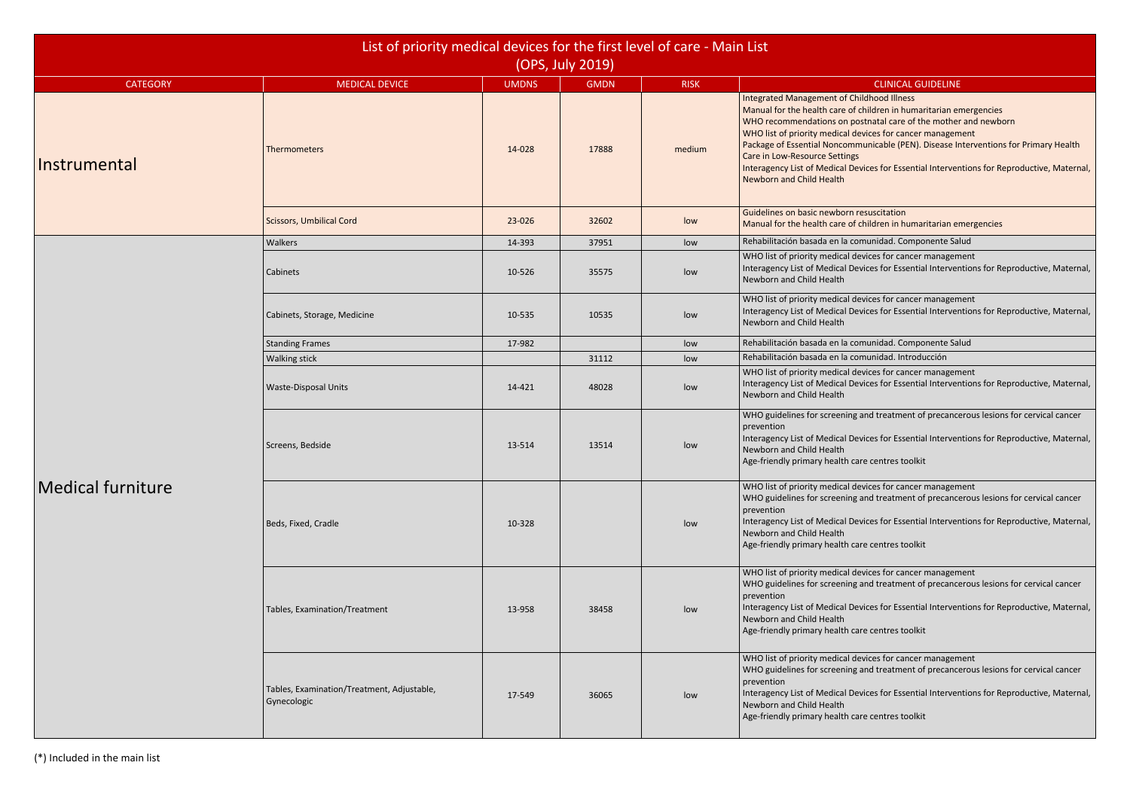of children in humaritarian emergencies

postnatal care of the mother and newborn

devices for cancer management

nmunicable (PEN). Disease Interventions for Primary Health

Devices for Essential Interventions for Reproductive, Maternal,

of children in humaritarian emergencies

comunidad. Componente Salud

devices for cancer management Devices for Essential Interventions for Reproductive, Maternal,

devices for cancer management Devices for Essential Interventions for Reproductive, Maternal,

comunidad. Componente Salud

devices for cancer management

Devices for Essential Interventions for Reproductive, Maternal,

g and treatment of precancerous lesions for cervical cancer

Devices for Essential Interventions for Reproductive, Maternal,

devices for cancer management g and treatment of precancerous lesions for cervical cancer

Devices for Essential Interventions for Reproductive, Maternal,

devices for cancer management g and treatment of precancerous lesions for cervical cancer

Devices for Essential Interventions for Reproductive, Maternal,

devices for cancer management g and treatment of precancerous lesions for cervical cancer

Devices for Essential Interventions for Reproductive, Maternal,

| List of priority medical devices for the first level of care - Main List<br>(OPS, July 2019) |                                                           |              |             |             |                                                                                                                                                                                                                                                                                                                                                                                                                |  |  |
|----------------------------------------------------------------------------------------------|-----------------------------------------------------------|--------------|-------------|-------------|----------------------------------------------------------------------------------------------------------------------------------------------------------------------------------------------------------------------------------------------------------------------------------------------------------------------------------------------------------------------------------------------------------------|--|--|
| <b>CATEGORY</b>                                                                              | <b>MEDICAL DEVICE</b>                                     | <b>UMDNS</b> | <b>GMDN</b> | <b>RISK</b> | <b>CLINICAL GUIDELINE</b>                                                                                                                                                                                                                                                                                                                                                                                      |  |  |
| Instrumental                                                                                 | Thermometers                                              | 14-028       | 17888       | medium      | Integrated Management of Childhood Illness<br>Manual for the health care of children in humaritarian er<br>WHO recommendations on postnatal care of the mother<br>WHO list of priority medical devices for cancer managem<br>Package of Essential Noncommunicable (PEN). Disease In<br>Care in Low-Resource Settings<br>Interagency List of Medical Devices for Essential Interver<br>Newborn and Child Health |  |  |
|                                                                                              | <b>Scissors, Umbilical Cord</b>                           | 23-026       | 32602       | low         | Guidelines on basic newborn resuscitation<br>Manual for the health care of children in humaritarian er                                                                                                                                                                                                                                                                                                         |  |  |
|                                                                                              | Walkers                                                   | 14-393       | 37951       | low         | Rehabilitación basada en la comunidad. Componente Sal                                                                                                                                                                                                                                                                                                                                                          |  |  |
|                                                                                              | Cabinets                                                  | 10-526       | 35575       | low         | WHO list of priority medical devices for cancer managem<br>Interagency List of Medical Devices for Essential Interver<br>Newborn and Child Health                                                                                                                                                                                                                                                              |  |  |
|                                                                                              | Cabinets, Storage, Medicine                               | 10-535       | 10535       | low         | WHO list of priority medical devices for cancer managem<br>Interagency List of Medical Devices for Essential Interver<br>Newborn and Child Health                                                                                                                                                                                                                                                              |  |  |
|                                                                                              | <b>Standing Frames</b>                                    | 17-982       |             | low         | Rehabilitación basada en la comunidad. Componente Sal                                                                                                                                                                                                                                                                                                                                                          |  |  |
|                                                                                              | <b>Walking stick</b>                                      |              | 31112       | low         | Rehabilitación basada en la comunidad. Introducción                                                                                                                                                                                                                                                                                                                                                            |  |  |
|                                                                                              | <b>Waste-Disposal Units</b>                               | 14-421       | 48028       | low         | WHO list of priority medical devices for cancer managem<br>Interagency List of Medical Devices for Essential Interver<br>Newborn and Child Health                                                                                                                                                                                                                                                              |  |  |
|                                                                                              | Screens, Bedside                                          | 13-514       | 13514       | low         | WHO guidelines for screening and treatment of precance<br>prevention<br>Interagency List of Medical Devices for Essential Interver<br>Newborn and Child Health<br>Age-friendly primary health care centres toolkit                                                                                                                                                                                             |  |  |
| <b>Medical furniture</b>                                                                     | Beds, Fixed, Cradle                                       | 10-328       |             | low         | WHO list of priority medical devices for cancer managem<br>WHO guidelines for screening and treatment of precance<br>prevention<br>Interagency List of Medical Devices for Essential Interver<br>Newborn and Child Health<br>Age-friendly primary health care centres toolkit                                                                                                                                  |  |  |
|                                                                                              | Tables, Examination/Treatment                             | 13-958       | 38458       | low         | WHO list of priority medical devices for cancer managem<br>WHO guidelines for screening and treatment of precance<br>prevention<br>Interagency List of Medical Devices for Essential Interver<br>Newborn and Child Health<br>Age-friendly primary health care centres toolkit                                                                                                                                  |  |  |
|                                                                                              | Tables, Examination/Treatment, Adjustable,<br>Gynecologic | 17-549       | 36065       | low         | WHO list of priority medical devices for cancer managem<br>WHO guidelines for screening and treatment of precance<br>prevention<br>Interagency List of Medical Devices for Essential Interver<br>Newborn and Child Health<br>Age-friendly primary health care centres toolkit                                                                                                                                  |  |  |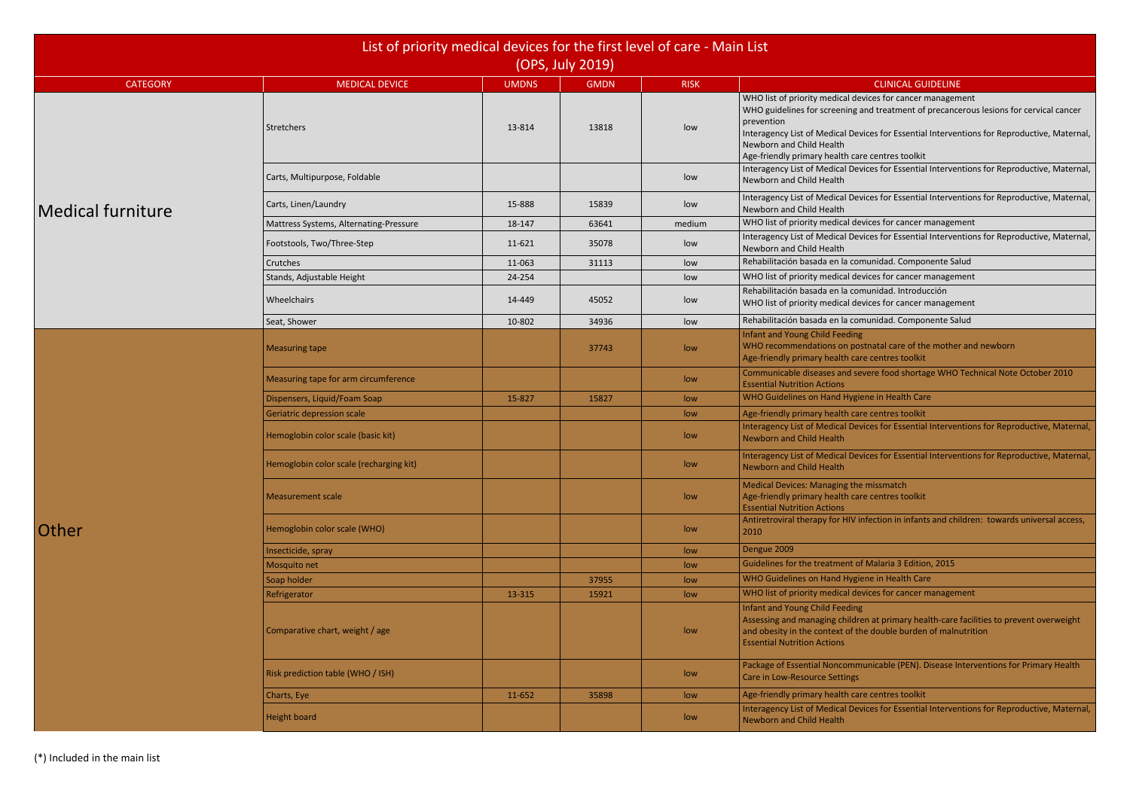devices for cancer management g and treatment of precancerous lesions for cervical cancer

Devices for Essential Interventions for Reproductive, Maternal,

### care centres toolkit

Devices for Essential Interventions for Reproductive, Maternal,

Devices for Essential Interventions for Reproductive, Maternal,

devices for cancer management

Devices for Essential Interventions for Reproductive, Maternal,

comunidad. Componente Salud

devices for cancer management

comunidad. Introducción

devices for cancer management

comunidad. Componente Salud

postnatal care of the mother and newborn care centres toolkit

severe food shortage WHO Technical Note October 2010

levices for Essential Interventions for Reproductive, Maternal,

levices for Essential Interventions for Reproductive, Maternal,

Infection in infants and children: towards universal access,

of Malaria 3 Edition, 2015

devices for cancer management

dren at primary health-care facilities to prevent overweight  $\mathbf f$  the double burden of malnutrition

Imunicable (PEN). Disease Interventions for Primary Health

levices for Essential Interventions for Reproductive, Maternal,

|                          |                                         | List of priority medical devices for the first level of care - Main List<br>(OPS, July 2019) |             |                  |                                                                                                                                                                                                                                                         |  |  |  |  |
|--------------------------|-----------------------------------------|----------------------------------------------------------------------------------------------|-------------|------------------|---------------------------------------------------------------------------------------------------------------------------------------------------------------------------------------------------------------------------------------------------------|--|--|--|--|
| <b>CATEGORY</b>          | <b>MEDICAL DEVICE</b>                   | <b>UMDNS</b>                                                                                 | <b>GMDN</b> | <b>RISK</b>      | <b>CLINICAL GUI</b>                                                                                                                                                                                                                                     |  |  |  |  |
|                          | Stretchers                              | 13-814                                                                                       | 13818       | low              | WHO list of priority medical devices for cancer m<br>WHO guidelines for screening and treatment of p<br>prevention<br>Interagency List of Medical Devices for Essential<br>Newborn and Child Health<br>Age-friendly primary health care centres toolkit |  |  |  |  |
|                          | Carts, Multipurpose, Foldable           |                                                                                              |             | low              | Interagency List of Medical Devices for Essential<br>Newborn and Child Health                                                                                                                                                                           |  |  |  |  |
| <b>Medical furniture</b> | Carts, Linen/Laundry                    | 15-888                                                                                       | 15839       | low              | Interagency List of Medical Devices for Essential<br>Newborn and Child Health                                                                                                                                                                           |  |  |  |  |
|                          | Mattress Systems, Alternating-Pressure  | 18-147                                                                                       | 63641       | medium           | WHO list of priority medical devices for cancer m                                                                                                                                                                                                       |  |  |  |  |
|                          | Footstools, Two/Three-Step              | 11-621                                                                                       | 35078       | low              | Interagency List of Medical Devices for Essential<br>Newborn and Child Health                                                                                                                                                                           |  |  |  |  |
|                          | Crutches                                | 11-063                                                                                       | 31113       | low              | Rehabilitación basada en la comunidad. Compon                                                                                                                                                                                                           |  |  |  |  |
|                          | Stands, Adjustable Height               | 24-254                                                                                       |             | low              | WHO list of priority medical devices for cancer m                                                                                                                                                                                                       |  |  |  |  |
|                          | Wheelchairs                             | 14-449                                                                                       | 45052       | low              | Rehabilitación basada en la comunidad. Introduc<br>WHO list of priority medical devices for cancer m                                                                                                                                                    |  |  |  |  |
|                          | Seat, Shower                            | 10-802                                                                                       | 34936       | low              | Rehabilitación basada en la comunidad. Compon                                                                                                                                                                                                           |  |  |  |  |
|                          | <b>Measuring tape</b>                   |                                                                                              | 37743       | low              | Infant and Young Child Feeding<br>WHO recommendations on postnatal care of the<br>Age-friendly primary health care centres toolkit                                                                                                                      |  |  |  |  |
|                          | Measuring tape for arm circumference    |                                                                                              |             | low              | Communicable diseases and severe food shortag<br><b>Essential Nutrition Actions</b>                                                                                                                                                                     |  |  |  |  |
|                          | Dispensers, Liquid/Foam Soap            | 15-827                                                                                       | 15827       | low              | WHO Guidelines on Hand Hygiene in Health Care                                                                                                                                                                                                           |  |  |  |  |
|                          | Geriatric depression scale              |                                                                                              |             | low              | Age-friendly primary health care centres toolkit                                                                                                                                                                                                        |  |  |  |  |
|                          | Hemoglobin color scale (basic kit)      |                                                                                              |             | low              | Interagency List of Medical Devices for Essential<br>Newborn and Child Health                                                                                                                                                                           |  |  |  |  |
|                          | Hemoglobin color scale (recharging kit) |                                                                                              |             | low              | Interagency List of Medical Devices for Essential<br>Newborn and Child Health                                                                                                                                                                           |  |  |  |  |
|                          | <b>Measurement scale</b>                |                                                                                              |             | low              | Medical Devices: Managing the missmatch<br>Age-friendly primary health care centres toolkit<br><b>Essential Nutrition Actions</b>                                                                                                                       |  |  |  |  |
| Other                    | Hemoglobin color scale (WHO)            |                                                                                              |             | low              | Antiretroviral therapy for HIV infection in infants<br>2010                                                                                                                                                                                             |  |  |  |  |
|                          | Insecticide, spray                      |                                                                                              |             | low              | Dengue 2009                                                                                                                                                                                                                                             |  |  |  |  |
|                          | Mosquito net                            |                                                                                              |             | low              | Guidelines for the treatment of Malaria 3 Edition                                                                                                                                                                                                       |  |  |  |  |
|                          | Soap holder                             |                                                                                              | 37955       | low              | WHO Guidelines on Hand Hygiene in Health Care                                                                                                                                                                                                           |  |  |  |  |
|                          | Refrigerator                            | 13-315                                                                                       | 15921       | low              | WHO list of priority medical devices for cancer m                                                                                                                                                                                                       |  |  |  |  |
|                          | Comparative chart, weight / age         |                                                                                              |             | low              | Infant and Young Child Feeding<br>Assessing and managing children at primary heal<br>and obesity in the context of the double burden<br><b>Essential Nutrition Actions</b>                                                                              |  |  |  |  |
|                          | Risk prediction table (WHO / ISH)       |                                                                                              |             | low              | Package of Essential Noncommunicable (PEN). Di<br>Care in Low-Resource Settings                                                                                                                                                                         |  |  |  |  |
|                          | Charts, Eye                             | 11-652                                                                                       | 35898       | low              | Age-friendly primary health care centres toolkit                                                                                                                                                                                                        |  |  |  |  |
|                          | <b>Height board</b>                     |                                                                                              |             | low <sub>1</sub> | Interagency List of Medical Devices for Essential<br>Newborn and Child Health                                                                                                                                                                           |  |  |  |  |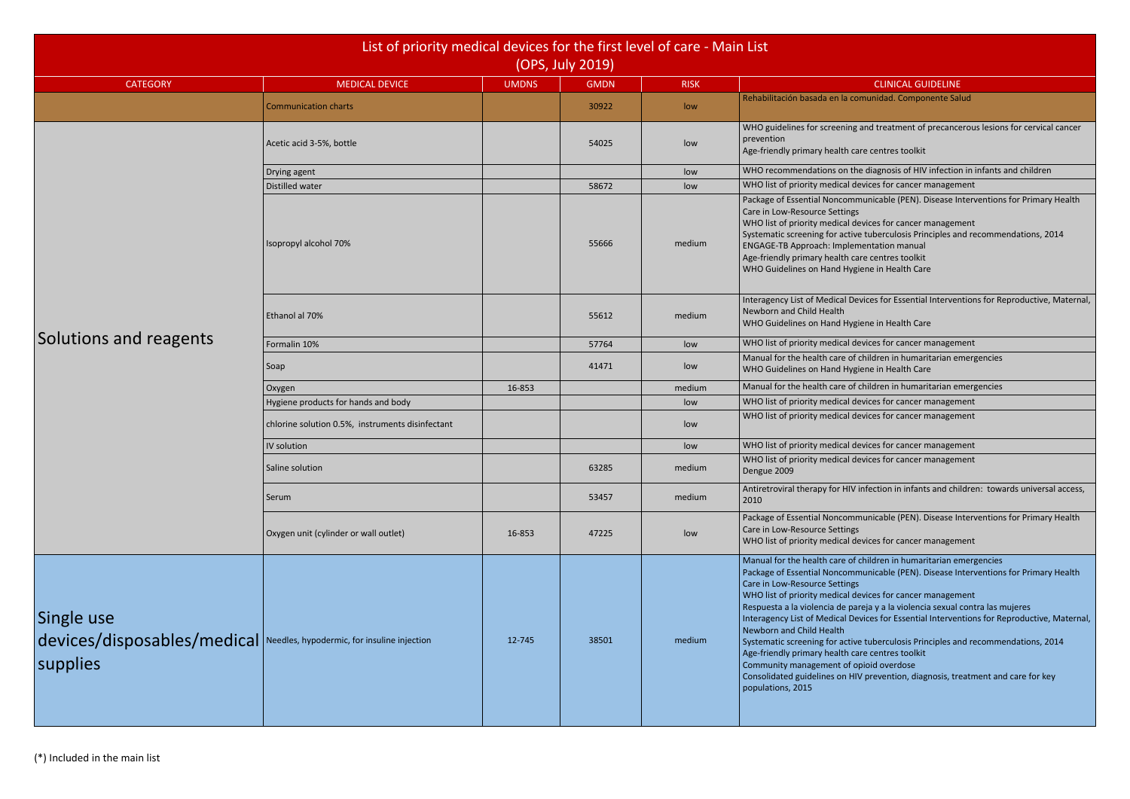comunidad. Componente Salud

g and treatment of precancerous lesions for cervical cancer

the diagnosis of HIV infection in infants and children

devices for cancer management

nmunicable (PEN). Disease Interventions for Primary Health

devices for cancer management

ive tuberculosis Principles and recommendations, 2014

Devices for Essential Interventions for Reproductive, Maternal,

devices for cancer management

of children in humaritarian emergencies

of children in humaritarian emergencies

devices for cancer management

devices for cancer management

devices for cancer management

devices for cancer management

V infection in infants and children: towards universal access,

nmunicable (PEN). Disease Interventions for Primary Health

devices for cancer management

of children in humaritarian emergencies

nmunicable (PEN). Disease Interventions for Primary Health

devices for cancer management

areja y a la violencia sexual contra las mujeres

Jevices for Essential Interventions for Reproductive, Maternal,

ive tuberculosis Principles and recommendations, 2014

HIV prevention, diagnosis, treatment and care for key

| List of priority medical devices for the first level of care - Main List<br>(OPS, July 2019)      |                                                  |              |             |             |                                                                                                                                                                                                                                                                                                                                                                                                                                                                                                                                                                                                                        |  |  |  |
|---------------------------------------------------------------------------------------------------|--------------------------------------------------|--------------|-------------|-------------|------------------------------------------------------------------------------------------------------------------------------------------------------------------------------------------------------------------------------------------------------------------------------------------------------------------------------------------------------------------------------------------------------------------------------------------------------------------------------------------------------------------------------------------------------------------------------------------------------------------------|--|--|--|
| <b>CATEGORY</b>                                                                                   | <b>MEDICAL DEVICE</b>                            | <b>UMDNS</b> | <b>GMDN</b> | <b>RISK</b> | <b>CLINICAL GUIDELINE</b>                                                                                                                                                                                                                                                                                                                                                                                                                                                                                                                                                                                              |  |  |  |
|                                                                                                   | <b>Communication charts</b>                      |              | 30922       | low         | Rehabilitación basada en la comunidad. Componente Sal                                                                                                                                                                                                                                                                                                                                                                                                                                                                                                                                                                  |  |  |  |
|                                                                                                   | Acetic acid 3-5%, bottle                         |              | 54025       | low         | WHO guidelines for screening and treatment of precance<br>prevention<br>Age-friendly primary health care centres toolkit                                                                                                                                                                                                                                                                                                                                                                                                                                                                                               |  |  |  |
|                                                                                                   | Drying agent                                     |              |             | low         | WHO recommendations on the diagnosis of HIV infection                                                                                                                                                                                                                                                                                                                                                                                                                                                                                                                                                                  |  |  |  |
|                                                                                                   | Distilled water                                  |              | 58672       | low         | WHO list of priority medical devices for cancer managem                                                                                                                                                                                                                                                                                                                                                                                                                                                                                                                                                                |  |  |  |
|                                                                                                   | Isopropyl alcohol 70%                            |              | 55666       | medium      | Package of Essential Noncommunicable (PEN). Disease In<br>Care in Low-Resource Settings<br>WHO list of priority medical devices for cancer managem<br>Systematic screening for active tuberculosis Principles ar<br><b>ENGAGE-TB Approach: Implementation manual</b><br>Age-friendly primary health care centres toolkit<br>WHO Guidelines on Hand Hygiene in Health Care                                                                                                                                                                                                                                              |  |  |  |
|                                                                                                   | Ethanol al 70%                                   |              | 55612       | medium      | Interagency List of Medical Devices for Essential Interver<br>Newborn and Child Health<br>WHO Guidelines on Hand Hygiene in Health Care                                                                                                                                                                                                                                                                                                                                                                                                                                                                                |  |  |  |
| Solutions and reagents                                                                            | Formalin 10%                                     |              | 57764       | low         | WHO list of priority medical devices for cancer managem                                                                                                                                                                                                                                                                                                                                                                                                                                                                                                                                                                |  |  |  |
|                                                                                                   | Soap                                             |              | 41471       | low         | Manual for the health care of children in humaritarian er<br>WHO Guidelines on Hand Hygiene in Health Care                                                                                                                                                                                                                                                                                                                                                                                                                                                                                                             |  |  |  |
|                                                                                                   | Oxygen                                           | 16-853       |             | medium      | Manual for the health care of children in humaritarian er                                                                                                                                                                                                                                                                                                                                                                                                                                                                                                                                                              |  |  |  |
|                                                                                                   | Hygiene products for hands and body              |              |             | low         | WHO list of priority medical devices for cancer managem                                                                                                                                                                                                                                                                                                                                                                                                                                                                                                                                                                |  |  |  |
|                                                                                                   | chlorine solution 0.5%, instruments disinfectant |              |             | low         | WHO list of priority medical devices for cancer managem                                                                                                                                                                                                                                                                                                                                                                                                                                                                                                                                                                |  |  |  |
|                                                                                                   | IV solution                                      |              |             | low         | WHO list of priority medical devices for cancer managem                                                                                                                                                                                                                                                                                                                                                                                                                                                                                                                                                                |  |  |  |
|                                                                                                   | Saline solution                                  |              | 63285       | medium      | WHO list of priority medical devices for cancer managem<br>Dengue 2009                                                                                                                                                                                                                                                                                                                                                                                                                                                                                                                                                 |  |  |  |
|                                                                                                   | Serum                                            |              | 53457       | medium      | Antiretroviral therapy for HIV infection in infants and chi<br>2010                                                                                                                                                                                                                                                                                                                                                                                                                                                                                                                                                    |  |  |  |
|                                                                                                   | Oxygen unit (cylinder or wall outlet)            | 16-853       | 47225       | low         | Package of Essential Noncommunicable (PEN). Disease In<br>Care in Low-Resource Settings<br>WHO list of priority medical devices for cancer managem                                                                                                                                                                                                                                                                                                                                                                                                                                                                     |  |  |  |
| Single use<br>devices/disposables/medical Needles, hypodermic, for insuline injection<br>supplies |                                                  | 12-745       | 38501       | medium      | Manual for the health care of children in humaritarian er<br>Package of Essential Noncommunicable (PEN). Disease In<br>Care in Low-Resource Settings<br>WHO list of priority medical devices for cancer managem<br>Respuesta a la violencia de pareja y a la violencia sexual<br>Interagency List of Medical Devices for Essential Interver<br>Newborn and Child Health<br>Systematic screening for active tuberculosis Principles ar<br>Age-friendly primary health care centres toolkit<br>Community management of opioid overdose<br>Consolidated guidelines on HIV prevention, diagnosis, tre<br>populations, 2015 |  |  |  |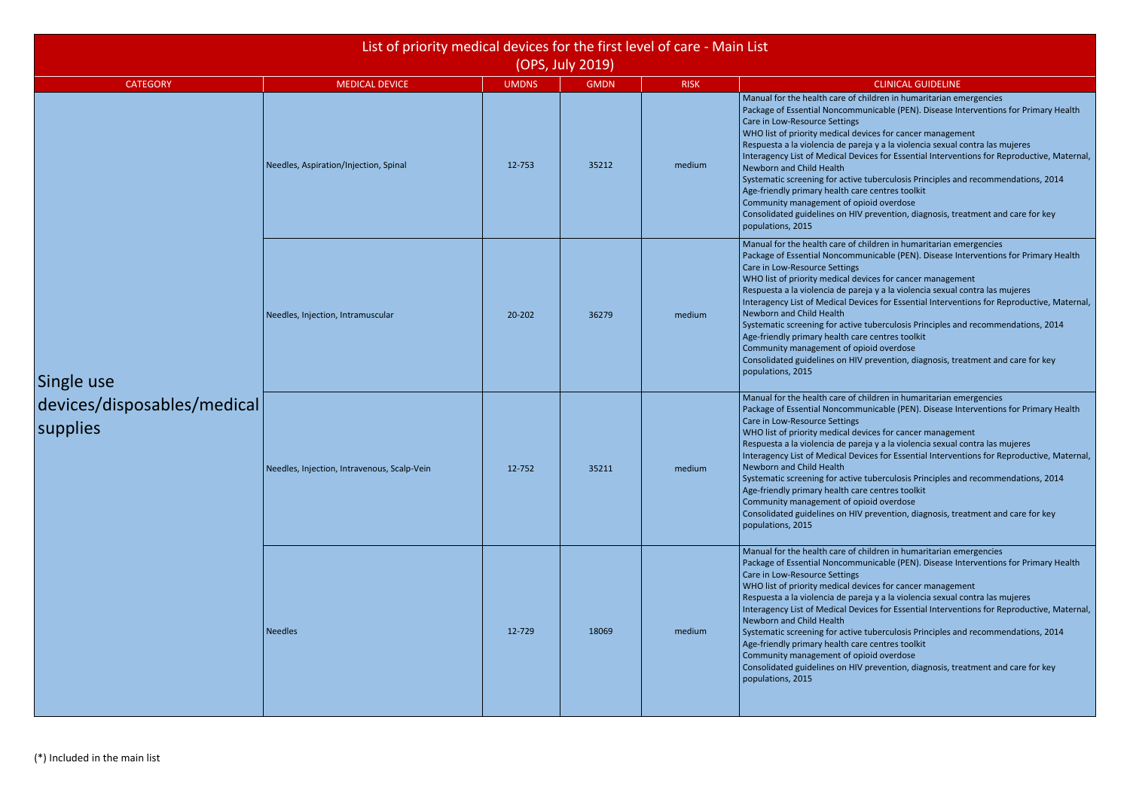- 
- 
- 

| List of priority medical devices for the first level of care - Main List<br>(OPS, July 2019) |                                             |              |             |             |                                                                                                                                                                                                                                                                                                                                                                                                                                                                                                                                                                                                                                                                                                                                                                    |  |  |  |
|----------------------------------------------------------------------------------------------|---------------------------------------------|--------------|-------------|-------------|--------------------------------------------------------------------------------------------------------------------------------------------------------------------------------------------------------------------------------------------------------------------------------------------------------------------------------------------------------------------------------------------------------------------------------------------------------------------------------------------------------------------------------------------------------------------------------------------------------------------------------------------------------------------------------------------------------------------------------------------------------------------|--|--|--|
| <b>CATEGORY</b>                                                                              | <b>MEDICAL DEVICE</b>                       | <b>UMDNS</b> | <b>GMDN</b> | <b>RISK</b> | <b>CLINICAL GUIDELINE</b>                                                                                                                                                                                                                                                                                                                                                                                                                                                                                                                                                                                                                                                                                                                                          |  |  |  |
|                                                                                              | Needles, Aspiration/Injection, Spinal       | 12-753       | 35212       | medium      | Manual for the health care of children in humaritarian emergencies<br>Package of Essential Noncommunicable (PEN). Disease Interventions for Primary Health<br>Care in Low-Resource Settings<br>WHO list of priority medical devices for cancer management<br>Respuesta a la violencia de pareja y a la violencia sexual contra las mujeres<br>Interagency List of Medical Devices for Essential Interventions for Reproductive, Maternal,<br>Newborn and Child Health<br>Systematic screening for active tuberculosis Principles and recommendations, 2014<br>Age-friendly primary health care centres toolkit<br>Community management of opioid overdose<br>Consolidated guidelines on HIV prevention, diagnosis, treatment and care for key<br>populations, 2015 |  |  |  |
| Single use                                                                                   | Needles, Injection, Intramuscular           | 20-202       | 36279       | medium      | Manual for the health care of children in humaritarian emergencies<br>Package of Essential Noncommunicable (PEN). Disease Interventions for Primary Health<br>Care in Low-Resource Settings<br>WHO list of priority medical devices for cancer management<br>Respuesta a la violencia de pareja y a la violencia sexual contra las mujeres<br>Interagency List of Medical Devices for Essential Interventions for Reproductive, Maternal,<br>Newborn and Child Health<br>Systematic screening for active tuberculosis Principles and recommendations, 2014<br>Age-friendly primary health care centres toolkit<br>Community management of opioid overdose<br>Consolidated guidelines on HIV prevention, diagnosis, treatment and care for key<br>populations, 2015 |  |  |  |
| devices/disposables/medical<br>supplies                                                      | Needles, Injection, Intravenous, Scalp-Vein | 12-752       | 35211       | medium      | Manual for the health care of children in humaritarian emergencies<br>Package of Essential Noncommunicable (PEN). Disease Interventions for Primary Health<br>Care in Low-Resource Settings<br>WHO list of priority medical devices for cancer management<br>Respuesta a la violencia de pareja y a la violencia sexual contra las mujeres<br>Interagency List of Medical Devices for Essential Interventions for Reproductive, Maternal,<br>Newborn and Child Health<br>Systematic screening for active tuberculosis Principles and recommendations, 2014<br>Age-friendly primary health care centres toolkit<br>Community management of opioid overdose<br>Consolidated guidelines on HIV prevention, diagnosis, treatment and care for key<br>populations, 2015 |  |  |  |
|                                                                                              | <b>Needles</b>                              | 12-729       | 18069       | medium      | Manual for the health care of children in humaritarian emergencies<br>Package of Essential Noncommunicable (PEN). Disease Interventions for Primary Health<br>Care in Low-Resource Settings<br>WHO list of priority medical devices for cancer management<br>Respuesta a la violencia de pareja y a la violencia sexual contra las mujeres<br>Interagency List of Medical Devices for Essential Interventions for Reproductive, Maternal,<br>Newborn and Child Health<br>Systematic screening for active tuberculosis Principles and recommendations, 2014<br>Age-friendly primary health care centres toolkit<br>Community management of opioid overdose<br>Consolidated guidelines on HIV prevention, diagnosis, treatment and care for key<br>populations, 2015 |  |  |  |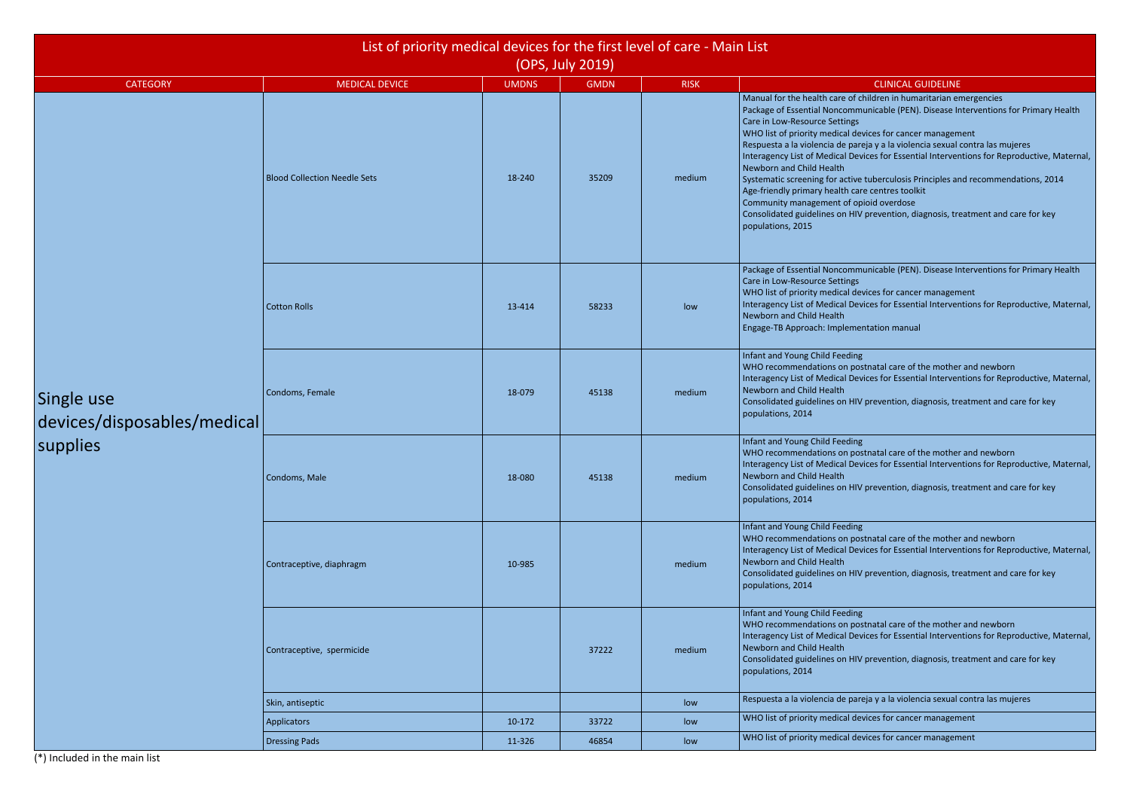(\*) Included in the main list

f children in humaritarian emergencies municable (PEN). Disease Interventions for Primary Health

devices for cancer management

areja y a la violencia sexual contra las mujeres

levices for Essential Interventions for Reproductive, Maternal,

ve tuberculosis Principles and recommendations, 2014

IIV prevention, diagnosis, treatment and care for key

Imunicable (PEN). Disease Interventions for Primary Health

devices for cancer management

levices for Essential Interventions for Reproductive, Maternal,

oostnatal care of the mother and newborn levices for Essential Interventions for Reproductive, Maternal,

IV prevention, diagnosis, treatment and care for key

oostnatal care of the mother and newborn levices for Essential Interventions for Reproductive, Maternal,

IIV prevention, diagnosis, treatment and care for key

oostnatal care of the mother and newborn levices for Essential Interventions for Reproductive, Maternal,

IV prevention, diagnosis, treatment and care for key

oostnatal care of the mother and newborn levices for Essential Interventions for Reproductive, Maternal,

 $H$ V prevention, diagnosis, treatment and care for key

areja y a la violencia sexual contra las mujeres

devices for cancer management

devices for cancer management

|                                           |                                     | List of priority medical devices for the first level of care - Main List<br>(OPS, July 2019) |             |             |                                                                                                                                                                                                                                                                                                                                                                                                                                                                                                                                                                                                                          |  |  |  |
|-------------------------------------------|-------------------------------------|----------------------------------------------------------------------------------------------|-------------|-------------|--------------------------------------------------------------------------------------------------------------------------------------------------------------------------------------------------------------------------------------------------------------------------------------------------------------------------------------------------------------------------------------------------------------------------------------------------------------------------------------------------------------------------------------------------------------------------------------------------------------------------|--|--|--|
| <b>CATEGORY</b>                           | <b>MEDICAL DEVICE</b>               | <b>UMDNS</b>                                                                                 | <b>GMDN</b> | <b>RISK</b> | <b>CLINICAL GUIDELINE</b>                                                                                                                                                                                                                                                                                                                                                                                                                                                                                                                                                                                                |  |  |  |
|                                           | <b>Blood Collection Needle Sets</b> | 18-240                                                                                       | 35209       | medium      | Manual for the health care of children in humaritarian er<br>Package of Essential Noncommunicable (PEN). Disease In<br>Care in Low-Resource Settings<br>WHO list of priority medical devices for cancer managem<br>Respuesta a la violencia de pareja y a la violencia sexual e<br>Interagency List of Medical Devices for Essential Interver<br>Newborn and Child Health<br>Systematic screening for active tuberculosis Principles ar<br>Age-friendly primary health care centres toolkit<br>Community management of opioid overdose<br>Consolidated guidelines on HIV prevention, diagnosis, tre<br>populations, 2015 |  |  |  |
|                                           | <b>Cotton Rolls</b>                 | 13-414                                                                                       | 58233       | low         | Package of Essential Noncommunicable (PEN). Disease In<br>Care in Low-Resource Settings<br>WHO list of priority medical devices for cancer managem<br>Interagency List of Medical Devices for Essential Interver<br>Newborn and Child Health<br>Engage-TB Approach: Implementation manual                                                                                                                                                                                                                                                                                                                                |  |  |  |
| Single use<br>devices/disposables/medical | Condoms, Female                     | 18-079                                                                                       | 45138       | medium      | Infant and Young Child Feeding<br>WHO recommendations on postnatal care of the mother<br>Interagency List of Medical Devices for Essential Interver<br>Newborn and Child Health<br>Consolidated guidelines on HIV prevention, diagnosis, tre<br>populations, 2014                                                                                                                                                                                                                                                                                                                                                        |  |  |  |
| supplies                                  | Condoms, Male                       | 18-080                                                                                       | 45138       | medium      | Infant and Young Child Feeding<br>WHO recommendations on postnatal care of the mother<br>Interagency List of Medical Devices for Essential Interver<br>Newborn and Child Health<br>Consolidated guidelines on HIV prevention, diagnosis, tre<br>populations, 2014                                                                                                                                                                                                                                                                                                                                                        |  |  |  |
|                                           | Contraceptive, diaphragm            | 10-985                                                                                       |             | medium      | Infant and Young Child Feeding<br>WHO recommendations on postnatal care of the mother<br>Interagency List of Medical Devices for Essential Interver<br>Newborn and Child Health<br>Consolidated guidelines on HIV prevention, diagnosis, tre<br>populations, 2014                                                                                                                                                                                                                                                                                                                                                        |  |  |  |
|                                           | Contraceptive, spermicide           |                                                                                              | 37222       | medium      | Infant and Young Child Feeding<br>WHO recommendations on postnatal care of the mother<br>Interagency List of Medical Devices for Essential Interver<br>Newborn and Child Health<br>Consolidated guidelines on HIV prevention, diagnosis, tre<br>populations, 2014                                                                                                                                                                                                                                                                                                                                                        |  |  |  |
|                                           | Skin, antiseptic                    |                                                                                              |             | low         | Respuesta a la violencia de pareja y a la violencia sexual d                                                                                                                                                                                                                                                                                                                                                                                                                                                                                                                                                             |  |  |  |
|                                           | <b>Applicators</b>                  | 10-172                                                                                       | 33722       | low         | WHO list of priority medical devices for cancer managem                                                                                                                                                                                                                                                                                                                                                                                                                                                                                                                                                                  |  |  |  |
|                                           | <b>Dressing Pads</b>                | 11-326                                                                                       | 46854       | low         | WHO list of priority medical devices for cancer managem                                                                                                                                                                                                                                                                                                                                                                                                                                                                                                                                                                  |  |  |  |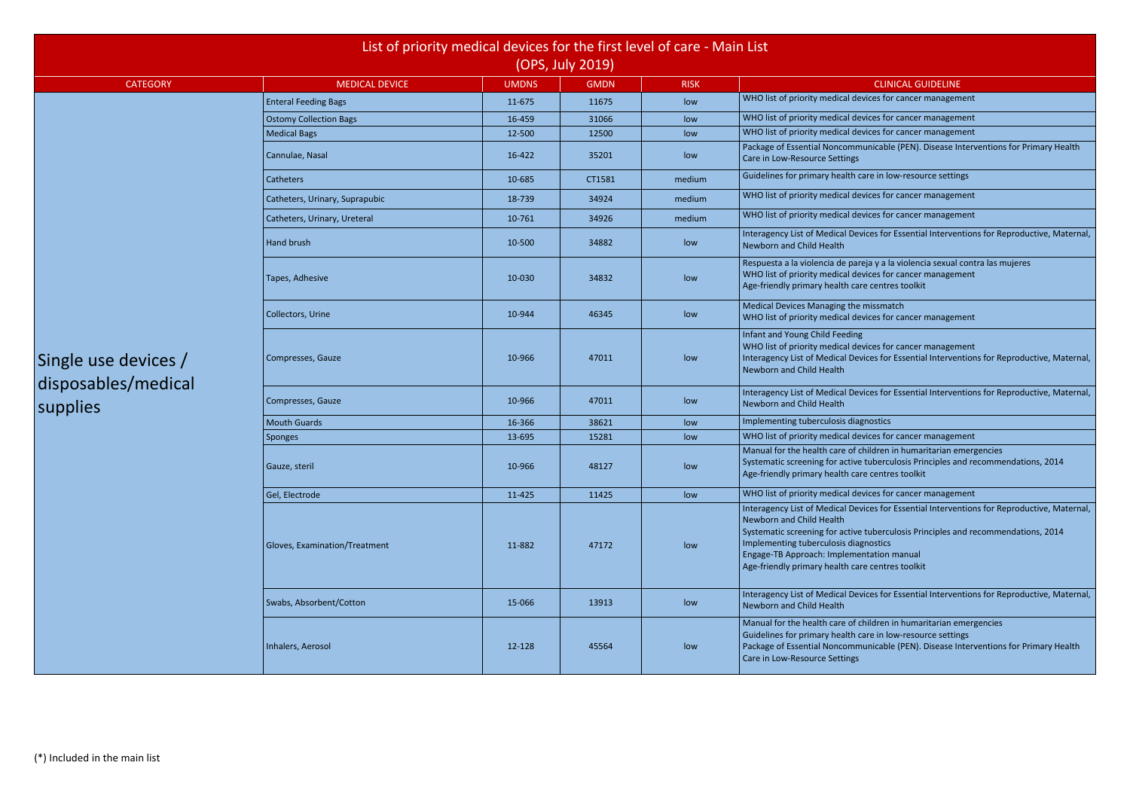devices for cancer management

devices for cancer management

devices for cancer management

nmunicable (PEN). Disease Interventions for Primary Health

h care in low-resource settings

devices for cancer management

devices for cancer management

Devices for Essential Interventions for Reproductive, Maternal,

bareja y a la violencia sexual contra las mujeres devices for cancer management care centres toolkit

he missmatch devices for cancer management

devices for cancer management

Jevices for Essential Interventions for Reproductive, Maternal,

Devices for Essential Interventions for Reproductive, Maternal,

devices for cancer management

of children in humaritarian emergencies

ive tuberculosis Principles and recommendations, 2014 care centres toolkit

devices for cancer management

Devices for Essential Interventions for Reproductive, Maternal,

ive tuberculosis Principles and recommendations, 2014 liagnostics

Devices for Essential Interventions for Reproductive, Maternal,

of children in humaritarian emergencies

h care in low-resource settings

nmunicable (PEN). Disease Interventions for Primary Health

|                                 | List of priority medical devices for the first level of care - Main List<br>(OPS, July 2019) |              |             |             |                                                                                                                                                                                                                                                                                                 |  |  |  |  |  |
|---------------------------------|----------------------------------------------------------------------------------------------|--------------|-------------|-------------|-------------------------------------------------------------------------------------------------------------------------------------------------------------------------------------------------------------------------------------------------------------------------------------------------|--|--|--|--|--|
|                                 |                                                                                              |              |             |             |                                                                                                                                                                                                                                                                                                 |  |  |  |  |  |
| <b>CATEGORY</b>                 | <b>MEDICAL DEVICE</b>                                                                        | <b>UMDNS</b> | <b>GMDN</b> | <b>RISK</b> | <b>CLINICAL GUIDELINE</b>                                                                                                                                                                                                                                                                       |  |  |  |  |  |
|                                 | <b>Enteral Feeding Bags</b>                                                                  | 11-675       | 11675       | low         | WHO list of priority medical devices for cancer managem                                                                                                                                                                                                                                         |  |  |  |  |  |
|                                 | <b>Ostomy Collection Bags</b>                                                                | 16-459       | 31066       | low         | WHO list of priority medical devices for cancer managem                                                                                                                                                                                                                                         |  |  |  |  |  |
|                                 | <b>Medical Bags</b>                                                                          | 12-500       | 12500       | low         | WHO list of priority medical devices for cancer managem                                                                                                                                                                                                                                         |  |  |  |  |  |
|                                 | Cannulae, Nasal                                                                              | 16-422       | 35201       | low         | Package of Essential Noncommunicable (PEN). Disease In<br>Care in Low-Resource Settings                                                                                                                                                                                                         |  |  |  |  |  |
|                                 | Catheters                                                                                    | 10-685       | CT1581      | medium      | Guidelines for primary health care in low-resource settin                                                                                                                                                                                                                                       |  |  |  |  |  |
|                                 | Catheters, Urinary, Suprapubic                                                               | 18-739       | 34924       | medium      | WHO list of priority medical devices for cancer managem                                                                                                                                                                                                                                         |  |  |  |  |  |
|                                 | Catheters, Urinary, Ureteral                                                                 | 10-761       | 34926       | medium      | WHO list of priority medical devices for cancer managem                                                                                                                                                                                                                                         |  |  |  |  |  |
|                                 | <b>Hand brush</b>                                                                            | 10-500       | 34882       | low         | Interagency List of Medical Devices for Essential Interver<br>Newborn and Child Health                                                                                                                                                                                                          |  |  |  |  |  |
|                                 | Tapes, Adhesive                                                                              | 10-030       | 34832       | low         | Respuesta a la violencia de pareja y a la violencia sexual<br>WHO list of priority medical devices for cancer managem<br>Age-friendly primary health care centres toolkit                                                                                                                       |  |  |  |  |  |
|                                 | Collectors, Urine                                                                            | 10-944       | 46345       | low         | Medical Devices Managing the missmatch<br>WHO list of priority medical devices for cancer managem                                                                                                                                                                                               |  |  |  |  |  |
| Single use devices /            | Compresses, Gauze                                                                            | 10-966       | 47011       | low         | Infant and Young Child Feeding<br>WHO list of priority medical devices for cancer managem<br>Interagency List of Medical Devices for Essential Interver<br>Newborn and Child Health                                                                                                             |  |  |  |  |  |
| disposables/medical<br>supplies | Compresses, Gauze                                                                            | 10-966       | 47011       | low         | Interagency List of Medical Devices for Essential Interver<br>Newborn and Child Health                                                                                                                                                                                                          |  |  |  |  |  |
|                                 | <b>Mouth Guards</b>                                                                          | 16-366       | 38621       | low         | Implementing tuberculosis diagnostics                                                                                                                                                                                                                                                           |  |  |  |  |  |
|                                 | Sponges                                                                                      | 13-695       | 15281       | low         | WHO list of priority medical devices for cancer managem                                                                                                                                                                                                                                         |  |  |  |  |  |
|                                 | Gauze, steril                                                                                | 10-966       | 48127       | low         | Manual for the health care of children in humaritarian er<br>Systematic screening for active tuberculosis Principles are<br>Age-friendly primary health care centres toolkit                                                                                                                    |  |  |  |  |  |
|                                 | Gel, Electrode                                                                               | 11-425       | 11425       | low         | WHO list of priority medical devices for cancer managem                                                                                                                                                                                                                                         |  |  |  |  |  |
|                                 | Gloves, Examination/Treatment                                                                | 11-882       | 47172       | low         | Interagency List of Medical Devices for Essential Interver<br>Newborn and Child Health<br>Systematic screening for active tuberculosis Principles are<br>Implementing tuberculosis diagnostics<br>Engage-TB Approach: Implementation manual<br>Age-friendly primary health care centres toolkit |  |  |  |  |  |
|                                 | Swabs, Absorbent/Cotton                                                                      | 15-066       | 13913       | low         | Interagency List of Medical Devices for Essential Interver<br>Newborn and Child Health                                                                                                                                                                                                          |  |  |  |  |  |
|                                 | Inhalers, Aerosol                                                                            | 12-128       | 45564       | low         | Manual for the health care of children in humaritarian er<br>Guidelines for primary health care in low-resource settin<br>Package of Essential Noncommunicable (PEN). Disease In<br>Care in Low-Resource Settings                                                                               |  |  |  |  |  |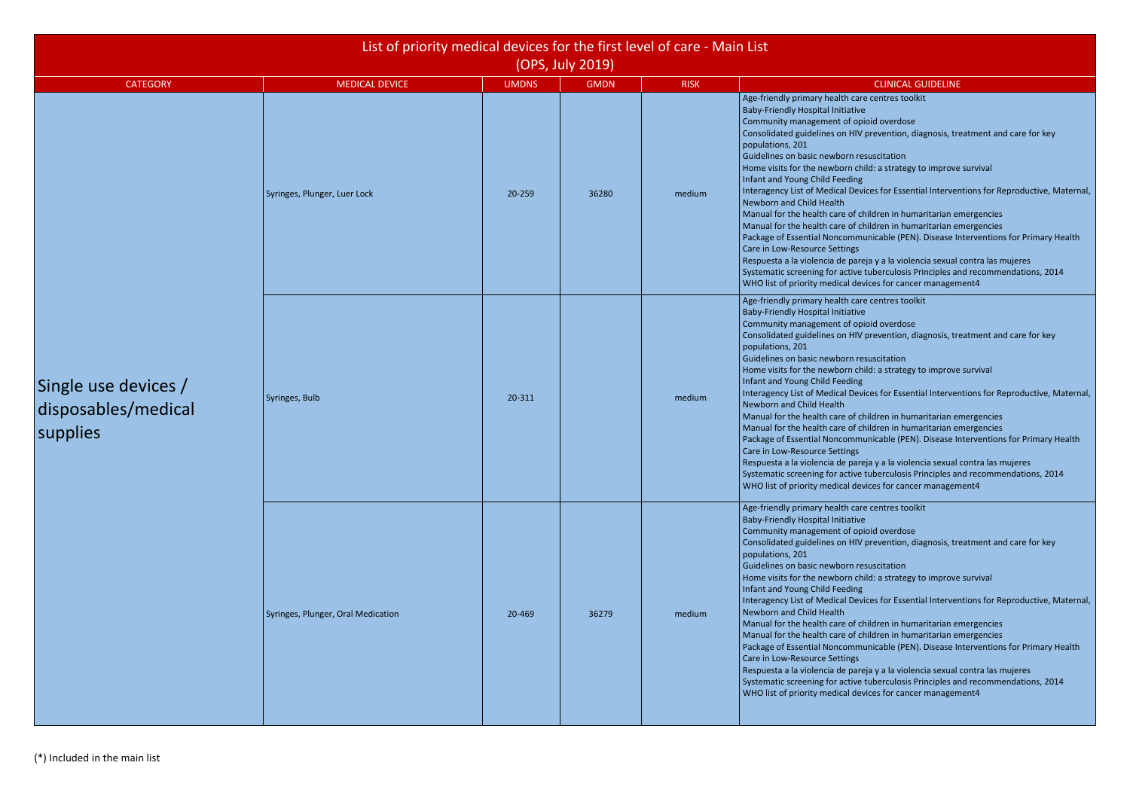- 
- 
- 
- 
- 

|                                                         | List of priority medical devices for the first level of care - Main List<br>(OPS, July 2019) |              |             |             |                                                                                                                                                                                                                                                                                                                                                                                                                                                                                                                                                                                                                                                                                                                                                                                                                                                                                                                                                                                                                                          |  |  |  |  |  |
|---------------------------------------------------------|----------------------------------------------------------------------------------------------|--------------|-------------|-------------|------------------------------------------------------------------------------------------------------------------------------------------------------------------------------------------------------------------------------------------------------------------------------------------------------------------------------------------------------------------------------------------------------------------------------------------------------------------------------------------------------------------------------------------------------------------------------------------------------------------------------------------------------------------------------------------------------------------------------------------------------------------------------------------------------------------------------------------------------------------------------------------------------------------------------------------------------------------------------------------------------------------------------------------|--|--|--|--|--|
| <b>CATEGORY</b>                                         | <b>MEDICAL DEVICE</b>                                                                        | <b>UMDNS</b> | <b>GMDN</b> | <b>RISK</b> | <b>CLINICAL GUIDELINE</b>                                                                                                                                                                                                                                                                                                                                                                                                                                                                                                                                                                                                                                                                                                                                                                                                                                                                                                                                                                                                                |  |  |  |  |  |
|                                                         | Syringes, Plunger, Luer Lock                                                                 | 20-259       | 36280       | medium      | Age-friendly primary health care centres toolkit<br><b>Baby-Friendly Hospital Initiative</b><br>Community management of opioid overdose<br>Consolidated guidelines on HIV prevention, diagnosis, treatment and care for key<br>populations, 201<br>Guidelines on basic newborn resuscitation<br>Home visits for the newborn child: a strategy to improve survival<br>Infant and Young Child Feeding<br>Interagency List of Medical Devices for Essential Interventions for Reproductive, Maternal,<br>Newborn and Child Health<br>Manual for the health care of children in humaritarian emergencies<br>Manual for the health care of children in humaritarian emergencies<br>Package of Essential Noncommunicable (PEN). Disease Interventions for Primary Health<br>Care in Low-Resource Settings<br>Respuesta a la violencia de pareja y a la violencia sexual contra las mujeres<br>Systematic screening for active tuberculosis Principles and recommendations, 2014<br>WHO list of priority medical devices for cancer management4 |  |  |  |  |  |
| Single use devices /<br>disposables/medical<br>supplies | Syringes, Bulb                                                                               | 20-311       |             | medium      | Age-friendly primary health care centres toolkit<br><b>Baby-Friendly Hospital Initiative</b><br>Community management of opioid overdose<br>Consolidated guidelines on HIV prevention, diagnosis, treatment and care for key<br>populations, 201<br>Guidelines on basic newborn resuscitation<br>Home visits for the newborn child: a strategy to improve survival<br>Infant and Young Child Feeding<br>Interagency List of Medical Devices for Essential Interventions for Reproductive, Maternal,<br>Newborn and Child Health<br>Manual for the health care of children in humaritarian emergencies<br>Manual for the health care of children in humaritarian emergencies<br>Package of Essential Noncommunicable (PEN). Disease Interventions for Primary Health<br>Care in Low-Resource Settings<br>Respuesta a la violencia de pareja y a la violencia sexual contra las mujeres<br>Systematic screening for active tuberculosis Principles and recommendations, 2014<br>WHO list of priority medical devices for cancer management4 |  |  |  |  |  |
|                                                         | Syringes, Plunger, Oral Medication                                                           | 20-469       | 36279       | medium      | Age-friendly primary health care centres toolkit<br><b>Baby-Friendly Hospital Initiative</b><br>Community management of opioid overdose<br>Consolidated guidelines on HIV prevention, diagnosis, treatment and care for key<br>populations, 201<br>Guidelines on basic newborn resuscitation<br>Home visits for the newborn child: a strategy to improve survival<br>Infant and Young Child Feeding<br>Interagency List of Medical Devices for Essential Interventions for Reproductive, Maternal,<br>Newborn and Child Health<br>Manual for the health care of children in humaritarian emergencies<br>Manual for the health care of children in humaritarian emergencies<br>Package of Essential Noncommunicable (PEN). Disease Interventions for Primary Health<br>Care in Low-Resource Settings<br>Respuesta a la violencia de pareja y a la violencia sexual contra las mujeres<br>Systematic screening for active tuberculosis Principles and recommendations, 2014<br>WHO list of priority medical devices for cancer management4 |  |  |  |  |  |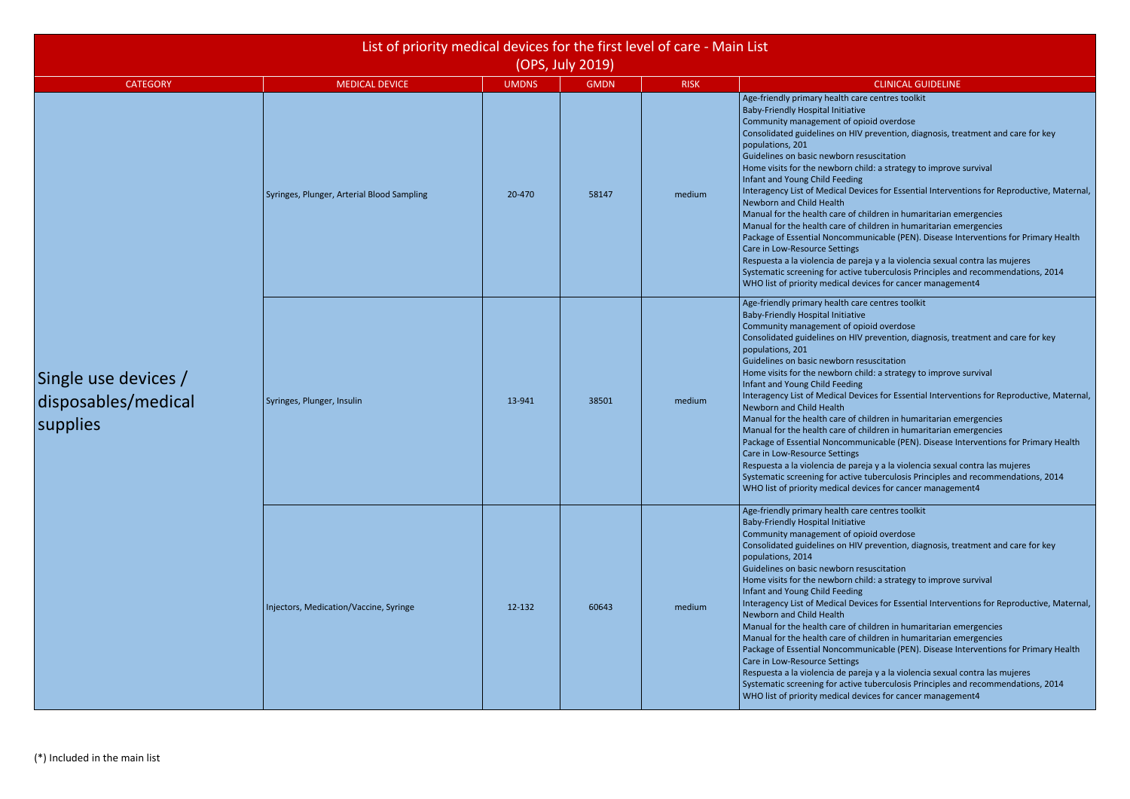| List of priority medical devices for the first level of care - Main List<br>(OPS, July 2019) |                                            |              |             |             |                                                                                                                                                                                                                                                                                                                                                                                                                                                                                                                                                                                                                                                                                                                                                                                                                                                                                                                                                                                                                                           |  |  |  |
|----------------------------------------------------------------------------------------------|--------------------------------------------|--------------|-------------|-------------|-------------------------------------------------------------------------------------------------------------------------------------------------------------------------------------------------------------------------------------------------------------------------------------------------------------------------------------------------------------------------------------------------------------------------------------------------------------------------------------------------------------------------------------------------------------------------------------------------------------------------------------------------------------------------------------------------------------------------------------------------------------------------------------------------------------------------------------------------------------------------------------------------------------------------------------------------------------------------------------------------------------------------------------------|--|--|--|
| <b>CATEGORY</b>                                                                              | <b>MEDICAL DEVICE</b>                      | <b>UMDNS</b> | <b>GMDN</b> | <b>RISK</b> | <b>CLINICAL GUIDELINE</b>                                                                                                                                                                                                                                                                                                                                                                                                                                                                                                                                                                                                                                                                                                                                                                                                                                                                                                                                                                                                                 |  |  |  |
|                                                                                              | Syringes, Plunger, Arterial Blood Sampling | 20-470       | 58147       | medium      | Age-friendly primary health care centres toolkit<br><b>Baby-Friendly Hospital Initiative</b><br>Community management of opioid overdose<br>Consolidated guidelines on HIV prevention, diagnosis, treatment and care for key<br>populations, 201<br>Guidelines on basic newborn resuscitation<br>Home visits for the newborn child: a strategy to improve survival<br>Infant and Young Child Feeding<br>Interagency List of Medical Devices for Essential Interventions for Reproductive, Maternal,<br>Newborn and Child Health<br>Manual for the health care of children in humaritarian emergencies<br>Manual for the health care of children in humaritarian emergencies<br>Package of Essential Noncommunicable (PEN). Disease Interventions for Primary Health<br>Care in Low-Resource Settings<br>Respuesta a la violencia de pareja y a la violencia sexual contra las mujeres<br>Systematic screening for active tuberculosis Principles and recommendations, 2014<br>WHO list of priority medical devices for cancer management4  |  |  |  |
| Single use devices /<br>disposables/medical<br>supplies                                      | Syringes, Plunger, Insulin                 | 13-941       | 38501       | medium      | Age-friendly primary health care centres toolkit<br><b>Baby-Friendly Hospital Initiative</b><br>Community management of opioid overdose<br>Consolidated guidelines on HIV prevention, diagnosis, treatment and care for key<br>populations, 201<br>Guidelines on basic newborn resuscitation<br>Home visits for the newborn child: a strategy to improve survival<br>Infant and Young Child Feeding<br>Interagency List of Medical Devices for Essential Interventions for Reproductive, Maternal,<br>Newborn and Child Health<br>Manual for the health care of children in humaritarian emergencies<br>Manual for the health care of children in humaritarian emergencies<br>Package of Essential Noncommunicable (PEN). Disease Interventions for Primary Health<br>Care in Low-Resource Settings<br>Respuesta a la violencia de pareja y a la violencia sexual contra las mujeres<br>Systematic screening for active tuberculosis Principles and recommendations, 2014<br>WHO list of priority medical devices for cancer management4  |  |  |  |
|                                                                                              | Injectors, Medication/Vaccine, Syringe     | 12-132       | 60643       | medium      | Age-friendly primary health care centres toolkit<br><b>Baby-Friendly Hospital Initiative</b><br>Community management of opioid overdose<br>Consolidated guidelines on HIV prevention, diagnosis, treatment and care for key<br>populations, 2014<br>Guidelines on basic newborn resuscitation<br>Home visits for the newborn child: a strategy to improve survival<br>Infant and Young Child Feeding<br>Interagency List of Medical Devices for Essential Interventions for Reproductive, Maternal,<br>Newborn and Child Health<br>Manual for the health care of children in humaritarian emergencies<br>Manual for the health care of children in humaritarian emergencies<br>Package of Essential Noncommunicable (PEN). Disease Interventions for Primary Health<br>Care in Low-Resource Settings<br>Respuesta a la violencia de pareja y a la violencia sexual contra las mujeres<br>Systematic screening for active tuberculosis Principles and recommendations, 2014<br>WHO list of priority medical devices for cancer management4 |  |  |  |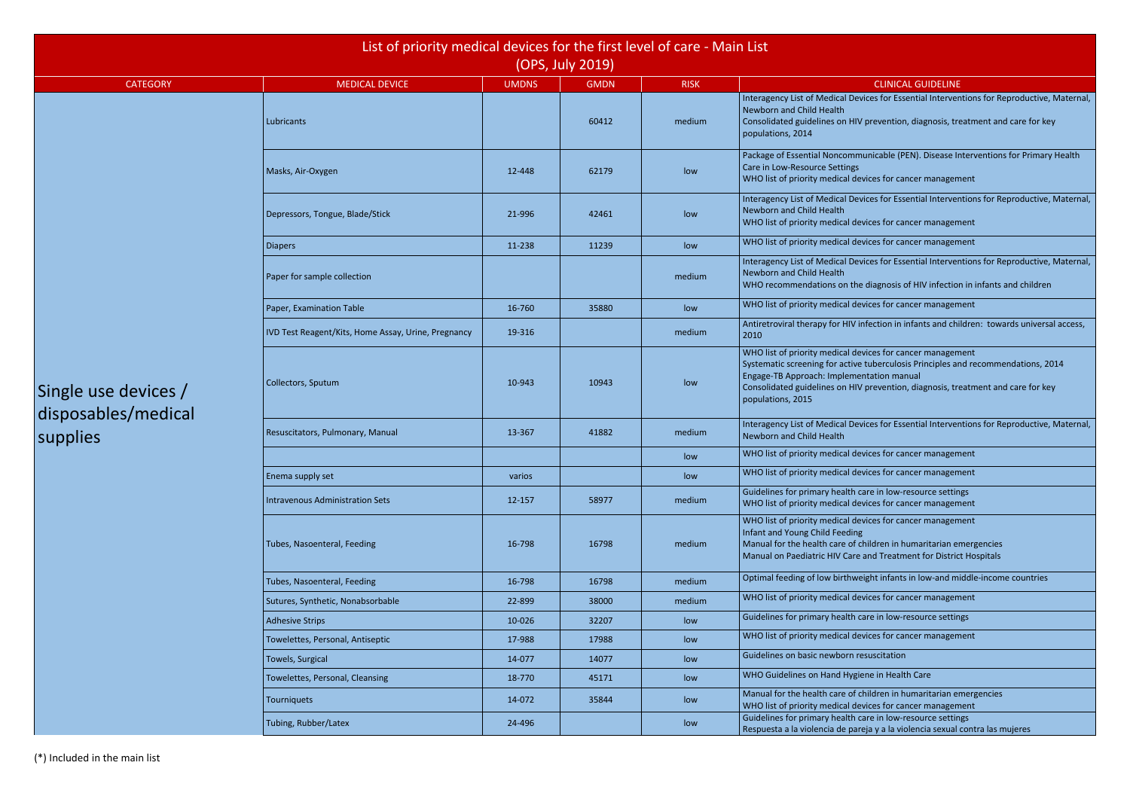Devices for Essential Interventions for Reproductive, Maternal,

HIV prevention, diagnosis, treatment and care for key

mmunicable (PEN). Disease Interventions for Primary Health

devices for cancer management

Devices for Essential Interventions for Reproductive, Maternal,

devices for cancer management

devices for cancer management

Devices for Essential Interventions for Reproductive, Maternal,

the diagnosis of HIV infection in infants and children

devices for cancer management

V infection in infants and children: towards universal access,

devices for cancer management

ive tuberculosis Principles and recommendations, 2014

HIV prevention, diagnosis, treatment and care for key

Devices for Essential Interventions for Reproductive, Maternal,

devices for cancer management

devices for cancer management

h care in low-resource settings devices for cancer management

devices for cancer management

of children in humaritarian emergencies

are and Treatment for District Hospitals

Iumeight infants in low-and middle-income countries

devices for cancer management

h care in low-resource settings

devices for cancer management

of children in humaritarian emergencies

devices for cancer management

In care in low-resource settings

pareja y a la violencia sexual contra las mujeres

|                                                         | List of priority medical devices for the first level of care - Main List |              | (OPS, July 2019) |             |                                                                                                                                                                                                                                                      |
|---------------------------------------------------------|--------------------------------------------------------------------------|--------------|------------------|-------------|------------------------------------------------------------------------------------------------------------------------------------------------------------------------------------------------------------------------------------------------------|
| <b>CATEGORY</b>                                         | <b>MEDICAL DEVICE</b>                                                    | <b>UMDNS</b> | <b>GMDN</b>      | <b>RISK</b> | <b>CLINICAL GUIDELINE</b>                                                                                                                                                                                                                            |
|                                                         | Lubricants                                                               |              | 60412            | medium      | Interagency List of Medical Devices for Essential Interver<br>Newborn and Child Health<br>Consolidated guidelines on HIV prevention, diagnosis, tre<br>populations, 2014                                                                             |
|                                                         | Masks, Air-Oxygen                                                        | 12-448       | 62179            | low         | Package of Essential Noncommunicable (PEN). Disease In<br>Care in Low-Resource Settings<br>WHO list of priority medical devices for cancer managem                                                                                                   |
|                                                         | Depressors, Tongue, Blade/Stick                                          | 21-996       | 42461            | low         | Interagency List of Medical Devices for Essential Interver<br>Newborn and Child Health<br>WHO list of priority medical devices for cancer managem                                                                                                    |
|                                                         | <b>Diapers</b>                                                           | 11-238       | 11239            | low         | WHO list of priority medical devices for cancer managem                                                                                                                                                                                              |
|                                                         | Paper for sample collection                                              |              |                  | medium      | Interagency List of Medical Devices for Essential Interver<br>Newborn and Child Health<br>WHO recommendations on the diagnosis of HIV infectior                                                                                                      |
|                                                         | Paper, Examination Table                                                 | 16-760       | 35880            | low         | WHO list of priority medical devices for cancer managem                                                                                                                                                                                              |
| Single use devices /<br>disposables/medical<br>supplies | IVD Test Reagent/Kits, Home Assay, Urine, Pregnancy                      | 19-316       |                  | medium      | Antiretroviral therapy for HIV infection in infants and chi<br>2010                                                                                                                                                                                  |
|                                                         | Collectors, Sputum                                                       | 10-943       | 10943            | low         | WHO list of priority medical devices for cancer managem<br>Systematic screening for active tuberculosis Principles ar<br>Engage-TB Approach: Implementation manual<br>Consolidated guidelines on HIV prevention, diagnosis, tre<br>populations, 2015 |
|                                                         | Resuscitators, Pulmonary, Manual                                         | 13-367       | 41882            | medium      | Interagency List of Medical Devices for Essential Interver<br>Newborn and Child Health                                                                                                                                                               |
|                                                         |                                                                          |              |                  | low         | WHO list of priority medical devices for cancer managem                                                                                                                                                                                              |
|                                                         | Enema supply set                                                         | varios       |                  | low         | WHO list of priority medical devices for cancer managem                                                                                                                                                                                              |
|                                                         | <b>Intravenous Administration Sets</b>                                   | 12-157       | 58977            | medium      | Guidelines for primary health care in low-resource settin<br>WHO list of priority medical devices for cancer managem                                                                                                                                 |
|                                                         | Tubes, Nasoenteral, Feeding                                              | 16-798       | 16798            | medium      | WHO list of priority medical devices for cancer managem<br>Infant and Young Child Feeding<br>Manual for the health care of children in humaritarian er<br>Manual on Paediatric HIV Care and Treatment for Distric                                    |
|                                                         | Tubes, Nasoenteral, Feeding                                              | 16-798       | 16798            | medium      | Optimal feeding of low birthweight infants in low-and mi                                                                                                                                                                                             |
|                                                         | Sutures, Synthetic, Nonabsorbable                                        | 22-899       | 38000            | medium      | WHO list of priority medical devices for cancer managem                                                                                                                                                                                              |
|                                                         | <b>Adhesive Strips</b>                                                   | 10-026       | 32207            | low         | Guidelines for primary health care in low-resource settin                                                                                                                                                                                            |
|                                                         | Towelettes, Personal, Antiseptic                                         | 17-988       | 17988            | low         | WHO list of priority medical devices for cancer managem                                                                                                                                                                                              |
|                                                         | Towels, Surgical                                                         | 14-077       | 14077            | low         | Guidelines on basic newborn resuscitation                                                                                                                                                                                                            |
|                                                         | Towelettes, Personal, Cleansing                                          | 18-770       | 45171            | low         | WHO Guidelines on Hand Hygiene in Health Care                                                                                                                                                                                                        |
|                                                         | Tourniquets                                                              | 14-072       | 35844            | low         | Manual for the health care of children in humaritarian er<br>WHO list of priority medical devices for cancer managem                                                                                                                                 |
|                                                         | Tubing, Rubber/Latex                                                     | 24-496       |                  | low         | Guidelines for primary health care in low-resource settin<br>Respuesta a la violencia de pareja y a la violencia sexual                                                                                                                              |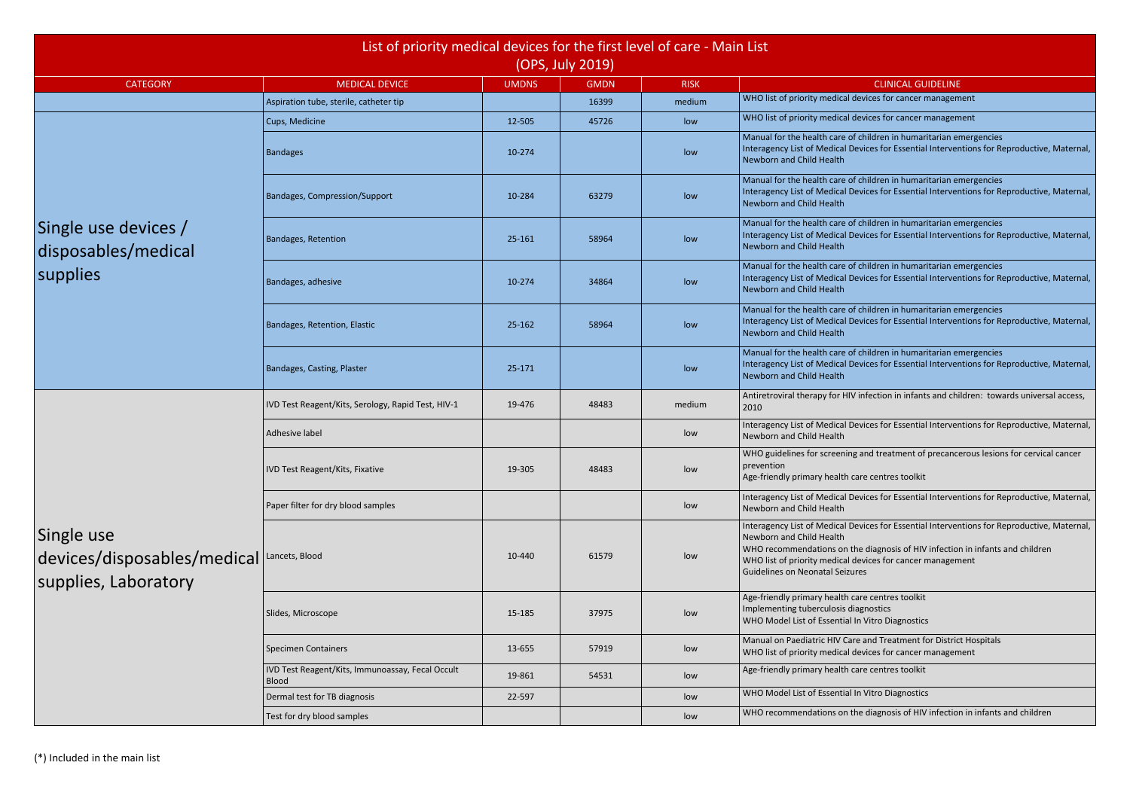devices for cancer management

devices for cancer management

of children in humaritarian emergencies Devices for Essential Interventions for Reproductive, Maternal,

of children in humaritarian emergencies Devices for Essential Interventions for Reproductive, Maternal,

of children in humaritarian emergencies Devices for Essential Interventions for Reproductive, Maternal,

of children in humaritarian emergencies Devices for Essential Interventions for Reproductive, Maternal,

of children in humaritarian emergencies Devices for Essential Interventions for Reproductive, Maternal,

of children in humaritarian emergencies Devices for Essential Interventions for Reproductive, Maternal,

IV infection in infants and children: towards universal access,

Devices for Essential Interventions for Reproductive, Maternal,

g and treatment of precancerous lesions for cervical cancer

Devices for Essential Interventions for Reproductive, Maternal,

Devices for Essential Interventions for Reproductive, Maternal,

the diagnosis of HIV infection in infants and children devices for cancer management ures

are and Treatment for District Hospitals devices for cancer management

the diagnosis of HIV infection in infants and children

|                                                                                                  | List of priority medical devices for the first level of care - Main List | (OPS, July 2019) |             |             |                                                                                                                                                                                                                      |
|--------------------------------------------------------------------------------------------------|--------------------------------------------------------------------------|------------------|-------------|-------------|----------------------------------------------------------------------------------------------------------------------------------------------------------------------------------------------------------------------|
| <b>CATEGORY</b>                                                                                  | <b>MEDICAL DEVICE</b>                                                    | <b>UMDNS</b>     | <b>GMDN</b> | <b>RISK</b> | <b>CLINICAL GU</b>                                                                                                                                                                                                   |
|                                                                                                  | Aspiration tube, sterile, catheter tip                                   |                  | 16399       | medium      | WHO list of priority medical devices for cancer n                                                                                                                                                                    |
|                                                                                                  | Cups, Medicine                                                           | 12-505           | 45726       | low         | WHO list of priority medical devices for cancer n                                                                                                                                                                    |
|                                                                                                  | <b>Bandages</b>                                                          | 10-274           |             | low         | Manual for the health care of children in humari<br>Interagency List of Medical Devices for Essential<br>Newborn and Child Health                                                                                    |
|                                                                                                  | <b>Bandages, Compression/Support</b>                                     | 10-284           | 63279       | low         | Manual for the health care of children in humari<br>Interagency List of Medical Devices for Essential<br>Newborn and Child Health                                                                                    |
| Single use devices /<br>disposables/medical                                                      | <b>Bandages, Retention</b>                                               | 25-161           | 58964       | low         | Manual for the health care of children in humari<br>Interagency List of Medical Devices for Essential<br>Newborn and Child Health                                                                                    |
| supplies                                                                                         | Bandages, adhesive                                                       | 10-274           | 34864       | low         | Manual for the health care of children in humari<br>Interagency List of Medical Devices for Essential<br>Newborn and Child Health                                                                                    |
|                                                                                                  | Bandages, Retention, Elastic                                             | 25-162           | 58964       | low         | Manual for the health care of children in humari<br>Interagency List of Medical Devices for Essential<br>Newborn and Child Health                                                                                    |
|                                                                                                  | Bandages, Casting, Plaster                                               | 25-171           |             | low         | Manual for the health care of children in humari<br>Interagency List of Medical Devices for Essential<br>Newborn and Child Health                                                                                    |
|                                                                                                  | IVD Test Reagent/Kits, Serology, Rapid Test, HIV-1                       | 19-476           | 48483       | medium      | Antiretroviral therapy for HIV infection in infants<br>2010                                                                                                                                                          |
|                                                                                                  | Adhesive label                                                           |                  |             | low         | Interagency List of Medical Devices for Essential<br>Newborn and Child Health                                                                                                                                        |
|                                                                                                  | <b>IVD Test Reagent/Kits, Fixative</b>                                   | 19-305           | 48483       | low         | WHO guidelines for screening and treatment of<br>prevention<br>Age-friendly primary health care centres toolkit                                                                                                      |
|                                                                                                  | Paper filter for dry blood samples                                       |                  |             | low         | Interagency List of Medical Devices for Essential<br>Newborn and Child Health                                                                                                                                        |
| Single use<br>$\vert$ devices/disposables/medical $\vert$ Lancets, Blood<br>supplies, Laboratory |                                                                          | 10-440           | 61579       | low         | Interagency List of Medical Devices for Essential<br>Newborn and Child Health<br>WHO recommendations on the diagnosis of HIV<br>WHO list of priority medical devices for cancer n<br>Guidelines on Neonatal Seizures |
|                                                                                                  | Slides, Microscope                                                       | 15-185           | 37975       | low         | Age-friendly primary health care centres toolkit<br>Implementing tuberculosis diagnostics<br>WHO Model List of Essential In Vitro Diagnostics                                                                        |
|                                                                                                  | <b>Specimen Containers</b>                                               | 13-655           | 57919       | low         | Manual on Paediatric HIV Care and Treatment fo<br>WHO list of priority medical devices for cancer n                                                                                                                  |
|                                                                                                  | IVD Test Reagent/Kits, Immunoassay, Fecal Occult<br><b>Blood</b>         | 19-861           | 54531       | low         | Age-friendly primary health care centres toolkit                                                                                                                                                                     |
|                                                                                                  | Dermal test for TB diagnosis                                             | 22-597           |             | low         | WHO Model List of Essential In Vitro Diagnostics                                                                                                                                                                     |
|                                                                                                  | Test for dry blood samples                                               |                  |             | low         | WHO recommendations on the diagnosis of HIV                                                                                                                                                                          |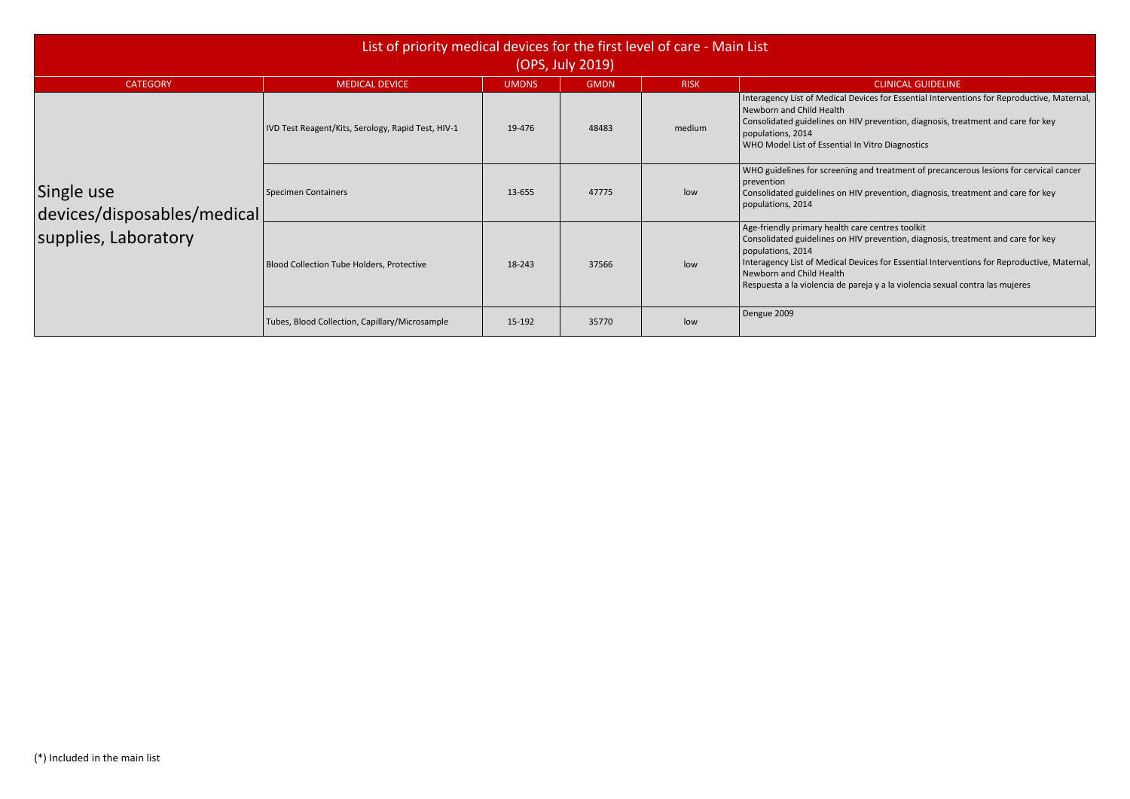Devices for Essential Interventions for Reproductive, Maternal,

HIV prevention, diagnosis, treatment and care for key

I In Vitro Diagnostics

ng and treatment of precancerous lesions for cervical cancer

HIV prevention, diagnosis, treatment and care for key

care centres toolkit HIV prevention, diagnosis, treatment and care for key

Devices for Essential Interventions for Reproductive, Maternal,

pareja y a la violencia sexual contra las mujeres

| List of priority medical devices for the first level of care - Main List<br>(OPS, July 2019) |                                                    |              |             |             |                                                                                                                                                                                       |  |
|----------------------------------------------------------------------------------------------|----------------------------------------------------|--------------|-------------|-------------|---------------------------------------------------------------------------------------------------------------------------------------------------------------------------------------|--|
| <b>CATEGORY</b>                                                                              | <b>MEDICAL DEVICE</b>                              | <b>UMDNS</b> | <b>GMDN</b> | <b>RISK</b> |                                                                                                                                                                                       |  |
|                                                                                              | IVD Test Reagent/Kits, Serology, Rapid Test, HIV-1 | 19-476       | 48483       | medium      | Interagency List of Medical D<br>Newborn and Child Health<br>Consolidated guidelines on <b>H</b><br>populations, 2014<br>WHO Model List of Essential                                  |  |
| Single use<br>devices/disposables/medical                                                    | Specimen Containers                                | 13-655       | 47775       | low         | WHO guidelines for screenin<br>prevention<br>Consolidated guidelines on <b>F</b><br>populations, 2014                                                                                 |  |
| supplies, Laboratory                                                                         | <b>Blood Collection Tube Holders, Protective</b>   | 18-243       | 37566       | low         | Age-friendly primary health<br>Consolidated guidelines on <b>H</b><br>populations, 2014<br>Interagency List of Medical D<br>Newborn and Child Health<br>Respuesta a la violencia de p |  |
|                                                                                              | Tubes, Blood Collection, Capillary/Microsample     | 15-192       | 35770       | low         | Dengue 2009                                                                                                                                                                           |  |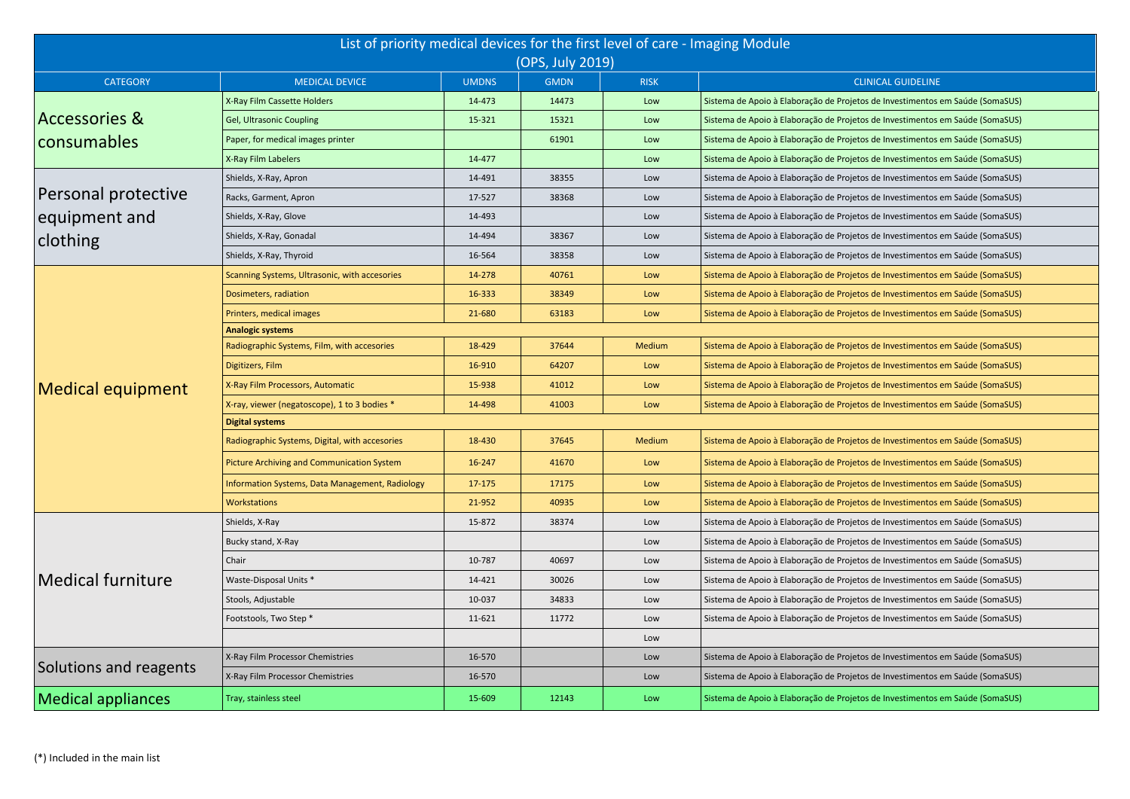| List of priority medical devices for the first level of care - Imaging Module<br>(OPS, July 2019) |                                                 |              |             |               |                                                                               |  |  |  |
|---------------------------------------------------------------------------------------------------|-------------------------------------------------|--------------|-------------|---------------|-------------------------------------------------------------------------------|--|--|--|
| <b>CATEGORY</b>                                                                                   | <b>MEDICAL DEVICE</b>                           | <b>UMDNS</b> | <b>GMDN</b> | <b>RISK</b>   | <b>CLINICAL GUIDELINE</b>                                                     |  |  |  |
|                                                                                                   | X-Ray Film Cassette Holders                     | 14-473       | 14473       | Low           | Sistema de Apoio à Elaboração de Projetos de Investimentos em Saúde (SomaSUS) |  |  |  |
| <b>Accessories &amp;</b>                                                                          | Gel, Ultrasonic Coupling                        | 15-321       | 15321       | Low           | Sistema de Apoio à Elaboração de Projetos de Investimentos em Saúde (SomaSUS) |  |  |  |
| consumables                                                                                       | Paper, for medical images printer               |              | 61901       | Low           | Sistema de Apoio à Elaboração de Projetos de Investimentos em Saúde (SomaSUS) |  |  |  |
|                                                                                                   | X-Ray Film Labelers                             | 14-477       |             | Low           | Sistema de Apoio à Elaboração de Projetos de Investimentos em Saúde (SomaSUS) |  |  |  |
|                                                                                                   | Shields, X-Ray, Apron                           | 14-491       | 38355       | Low           | Sistema de Apoio à Elaboração de Projetos de Investimentos em Saúde (SomaSUS) |  |  |  |
| Personal protective                                                                               | Racks, Garment, Apron                           | 17-527       | 38368       | Low           | Sistema de Apoio à Elaboração de Projetos de Investimentos em Saúde (SomaSUS) |  |  |  |
| equipment and                                                                                     | Shields, X-Ray, Glove                           | 14-493       |             | Low           | Sistema de Apoio à Elaboração de Projetos de Investimentos em Saúde (SomaSUS) |  |  |  |
| clothing                                                                                          | Shields, X-Ray, Gonadal                         | 14-494       | 38367       | Low           | Sistema de Apoio à Elaboração de Projetos de Investimentos em Saúde (SomaSUS) |  |  |  |
|                                                                                                   | Shields, X-Ray, Thyroid                         | 16-564       | 38358       | Low           | Sistema de Apoio à Elaboração de Projetos de Investimentos em Saúde (SomaSUS) |  |  |  |
|                                                                                                   | Scanning Systems, Ultrasonic, with accesories   | 14-278       | 40761       | Low           | Sistema de Apoio à Elaboração de Projetos de Investimentos em Saúde (SomaSUS) |  |  |  |
|                                                                                                   | Dosimeters, radiation                           | 16-333       | 38349       | Low           | Sistema de Apoio à Elaboração de Projetos de Investimentos em Saúde (SomaSUS) |  |  |  |
|                                                                                                   | Printers, medical images                        | 21-680       | 63183       | Low           | Sistema de Apoio à Elaboração de Projetos de Investimentos em Saúde (SomaSUS) |  |  |  |
|                                                                                                   | <b>Analogic systems</b>                         |              |             |               |                                                                               |  |  |  |
|                                                                                                   | Radiographic Systems, Film, with accesories     | 18-429       | 37644       | Medium        | Sistema de Apoio à Elaboração de Projetos de Investimentos em Saúde (SomaSUS) |  |  |  |
| <b>Medical equipment</b>                                                                          | Digitizers, Film                                | 16-910       | 64207       | Low           | Sistema de Apoio à Elaboração de Projetos de Investimentos em Saúde (SomaSUS) |  |  |  |
|                                                                                                   | X-Ray Film Processors, Automatic                | 15-938       | 41012       | Low           | Sistema de Apoio à Elaboração de Projetos de Investimentos em Saúde (SomaSUS) |  |  |  |
|                                                                                                   | X-ray, viewer (negatoscope), 1 to 3 bodies *    | 14-498       | 41003       | Low           | Sistema de Apoio à Elaboração de Projetos de Investimentos em Saúde (SomaSUS) |  |  |  |
|                                                                                                   | <b>Digital systems</b>                          |              |             |               |                                                                               |  |  |  |
|                                                                                                   | Radiographic Systems, Digital, with accesories  | 18-430       | 37645       | <b>Medium</b> | Sistema de Apoio à Elaboração de Projetos de Investimentos em Saúde (SomaSUS) |  |  |  |
|                                                                                                   | Picture Archiving and Communication System      | 16-247       | 41670       | Low           | Sistema de Apoio à Elaboração de Projetos de Investimentos em Saúde (SomaSUS) |  |  |  |
|                                                                                                   | Information Systems, Data Management, Radiology | 17-175       | 17175       | Low           | Sistema de Apoio à Elaboração de Projetos de Investimentos em Saúde (SomaSUS) |  |  |  |
|                                                                                                   | Workstations                                    | 21-952       | 40935       | Low           | Sistema de Apoio à Elaboração de Projetos de Investimentos em Saúde (SomaSUS) |  |  |  |
|                                                                                                   | Shields, X-Ray                                  | 15-872       | 38374       | Low           | Sistema de Apoio à Elaboração de Projetos de Investimentos em Saúde (SomaSUS) |  |  |  |
|                                                                                                   | Bucky stand, X-Ray                              |              |             | Low           | Sistema de Apoio à Elaboração de Projetos de Investimentos em Saúde (SomaSUS) |  |  |  |
|                                                                                                   | Chair                                           | 10-787       | 40697       | Low           | Sistema de Apoio à Elaboração de Projetos de Investimentos em Saúde (SomaSUS) |  |  |  |
| <b>Medical furniture</b>                                                                          | Waste-Disposal Units *                          | 14-421       | 30026       | Low           | Sistema de Apoio à Elaboração de Projetos de Investimentos em Saúde (SomaSUS) |  |  |  |
|                                                                                                   | Stools, Adjustable                              | 10-037       | 34833       | Low           | Sistema de Apoio à Elaboração de Projetos de Investimentos em Saúde (SomaSUS) |  |  |  |
|                                                                                                   | Footstools, Two Step *                          | 11-621       | 11772       | Low           | Sistema de Apoio à Elaboração de Projetos de Investimentos em Saúde (SomaSUS) |  |  |  |
|                                                                                                   |                                                 |              |             | Low           |                                                                               |  |  |  |
|                                                                                                   | X-Ray Film Processor Chemistries                | 16-570       |             | Low           | Sistema de Apoio à Elaboração de Projetos de Investimentos em Saúde (SomaSUS) |  |  |  |
| Solutions and reagents                                                                            | X-Ray Film Processor Chemistries                | 16-570       |             | Low           | Sistema de Apoio à Elaboração de Projetos de Investimentos em Saúde (SomaSUS) |  |  |  |
| <b>Medical appliances</b>                                                                         | Tray, stainless steel                           | 15-609       | 12143       | Low           | Sistema de Apoio à Elaboração de Projetos de Investimentos em Saúde (SomaSUS) |  |  |  |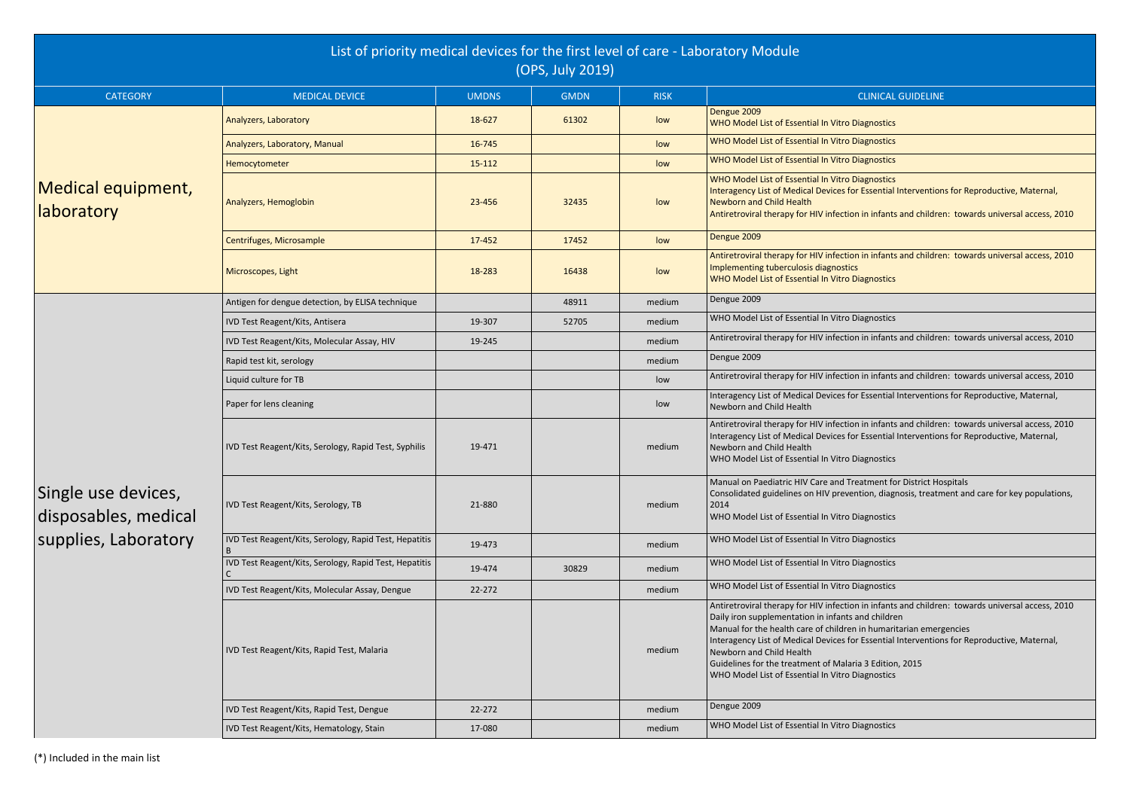Interagency Essential Interventions for Reproductive, Maternal,

In in infants and children: towards universal access, 2010

on in infants and children: towards universal access, 2010

Iom in infants and children: towards universal access, 2010

In in infants and children: towards universal access, 2010

Interagency Dessential Interventions for Reproductive, Maternal,

In in infants and children: towards universal access, 2010 Interagency Dessential Interventions for Reproductive, Maternal,

reatment for District Hospitals ention, diagnosis, treatment and care for key populations,

In in infants and children: towards universal access, 2010 and children

n in humaritarian emergencies Interagency Dessential Interventions for Reproductive, Maternal,

ria 3 Edition, 2015 Diagnostics

|                                             | List of priority medical devices for the first level of care - Laboratory Module |                                                                                                                                                  | (OPS, July 2019) |             |                                                                                                                                                                                                                                                                                                                                                         |
|---------------------------------------------|----------------------------------------------------------------------------------|--------------------------------------------------------------------------------------------------------------------------------------------------|------------------|-------------|---------------------------------------------------------------------------------------------------------------------------------------------------------------------------------------------------------------------------------------------------------------------------------------------------------------------------------------------------------|
| <b>CATEGORY</b>                             | <b>MEDICAL DEVICE</b>                                                            | <b>UMDNS</b>                                                                                                                                     | <b>GMDN</b>      | <b>RISK</b> | <b>CLINICAL</b>                                                                                                                                                                                                                                                                                                                                         |
|                                             | Analyzers, Laboratory                                                            | 18-627                                                                                                                                           | 61302            | low         | Dengue 2009<br>WHO Model List of Essential In Vitro Diagnostics                                                                                                                                                                                                                                                                                         |
|                                             | Analyzers, Laboratory, Manual                                                    | 16-745                                                                                                                                           |                  | low         | WHO Model List of Essential In Vitro Diagnostics                                                                                                                                                                                                                                                                                                        |
|                                             | Hemocytometer                                                                    | 15-112                                                                                                                                           |                  | low         | WHO Model List of Essential In Vitro Diagnostics                                                                                                                                                                                                                                                                                                        |
| Medical equipment,<br><b>laboratory</b>     | Analyzers, Hemoglobin                                                            | 23-456                                                                                                                                           | 32435            | low         | WHO Model List of Essential In Vitro Diagnostics<br>Interagency List of Medical Devices for Essential<br><b>Newborn and Child Health</b><br>Antiretroviral therapy for HIV infection in infants                                                                                                                                                         |
|                                             | Centrifuges, Microsample                                                         | 17-452                                                                                                                                           | 17452            | low         | Dengue 2009                                                                                                                                                                                                                                                                                                                                             |
| Microscopes, Light<br>18-283<br>16438       | low                                                                              | Antiretroviral therapy for HIV infection in infants<br>Implementing tuberculosis diagnostics<br>WHO Model List of Essential In Vitro Diagnostics |                  |             |                                                                                                                                                                                                                                                                                                                                                         |
|                                             | Antigen for dengue detection, by ELISA technique                                 |                                                                                                                                                  | 48911            | medium      | Dengue 2009                                                                                                                                                                                                                                                                                                                                             |
|                                             | IVD Test Reagent/Kits, Antisera                                                  | 19-307                                                                                                                                           | 52705            | medium      | WHO Model List of Essential In Vitro Diagnostics                                                                                                                                                                                                                                                                                                        |
| Single use devices,<br>disposables, medical | IVD Test Reagent/Kits, Molecular Assay, HIV                                      | 19-245                                                                                                                                           |                  | medium      | Antiretroviral therapy for HIV infection in infants                                                                                                                                                                                                                                                                                                     |
|                                             | Rapid test kit, serology                                                         |                                                                                                                                                  |                  | medium      | Dengue 2009                                                                                                                                                                                                                                                                                                                                             |
|                                             | Liquid culture for TB                                                            |                                                                                                                                                  |                  | low         | Antiretroviral therapy for HIV infection in infants                                                                                                                                                                                                                                                                                                     |
|                                             | Paper for lens cleaning                                                          |                                                                                                                                                  |                  | low         | Interagency List of Medical Devices for Essential<br>Newborn and Child Health                                                                                                                                                                                                                                                                           |
|                                             | IVD Test Reagent/Kits, Serology, Rapid Test, Syphilis                            | 19-471                                                                                                                                           |                  | medium      | Antiretroviral therapy for HIV infection in infants<br>Interagency List of Medical Devices for Essential<br>Newborn and Child Health<br>WHO Model List of Essential In Vitro Diagnostics                                                                                                                                                                |
|                                             | IVD Test Reagent/Kits, Serology, TB                                              | 21-880                                                                                                                                           |                  | medium      | Manual on Paediatric HIV Care and Treatment fo<br>Consolidated guidelines on HIV prevention, diagr<br>2014<br>WHO Model List of Essential In Vitro Diagnostics                                                                                                                                                                                          |
| supplies, Laboratory                        | IVD Test Reagent/Kits, Serology, Rapid Test, Hepatitis                           | 19-473                                                                                                                                           |                  | medium      | WHO Model List of Essential In Vitro Diagnostics                                                                                                                                                                                                                                                                                                        |
|                                             | IVD Test Reagent/Kits, Serology, Rapid Test, Hepatitis                           | 19-474                                                                                                                                           | 30829            | medium      | WHO Model List of Essential In Vitro Diagnostics                                                                                                                                                                                                                                                                                                        |
|                                             | IVD Test Reagent/Kits, Molecular Assay, Dengue                                   | 22-272                                                                                                                                           |                  | medium      | WHO Model List of Essential In Vitro Diagnostics                                                                                                                                                                                                                                                                                                        |
|                                             | IVD Test Reagent/Kits, Rapid Test, Malaria                                       |                                                                                                                                                  |                  | medium      | Antiretroviral therapy for HIV infection in infants<br>Daily iron supplementation in infants and childre<br>Manual for the health care of children in humarit<br>Interagency List of Medical Devices for Essential<br>Newborn and Child Health<br>Guidelines for the treatment of Malaria 3 Edition<br>WHO Model List of Essential In Vitro Diagnostics |
|                                             | IVD Test Reagent/Kits, Rapid Test, Dengue                                        | 22-272                                                                                                                                           |                  | medium      | Dengue 2009                                                                                                                                                                                                                                                                                                                                             |
|                                             | IVD Test Reagent/Kits, Hematology, Stain                                         | 17-080                                                                                                                                           |                  | medium      | WHO Model List of Essential In Vitro Diagnostics                                                                                                                                                                                                                                                                                                        |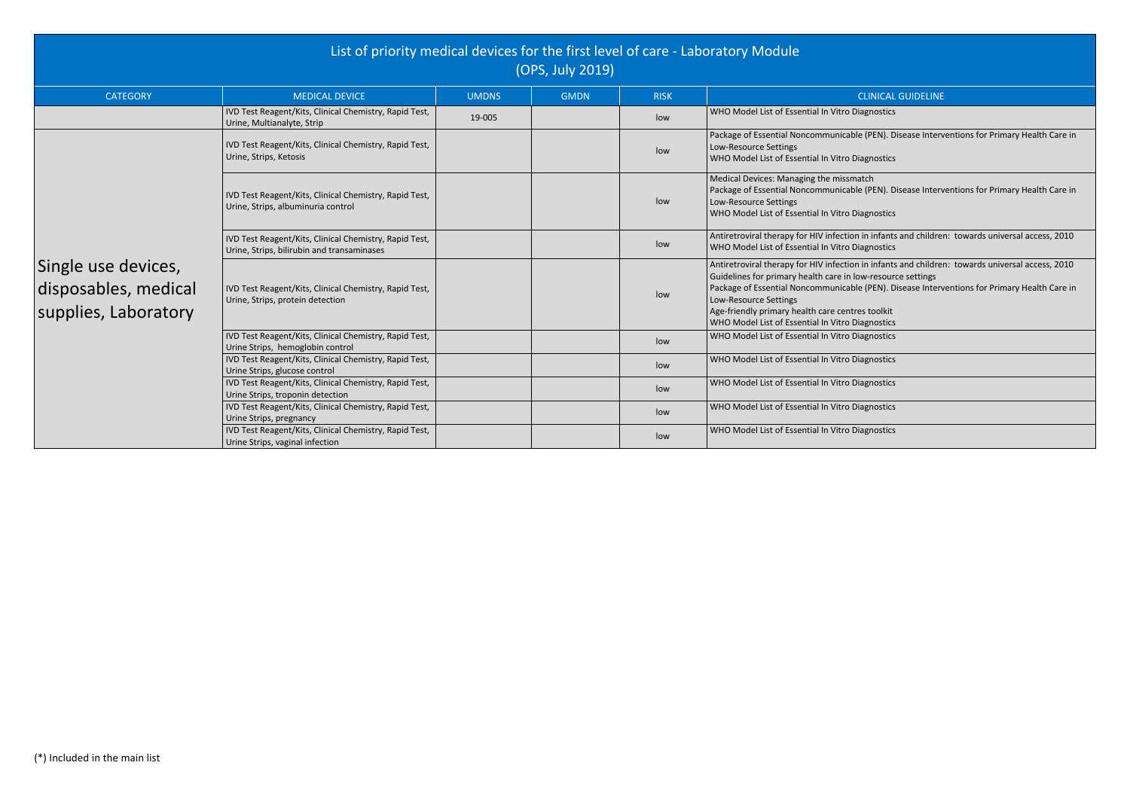Paule (PEN). Disease Interventions for Primary Health Care in

Diagnostics

 $\overline{\mathsf{match}}$ Paule (PEN). Disease Interventions for Primary Health Care in

Diagnostics

n in infants and children: towards universal access, 2010 Diagnostics

n in infants and children: towards universal access, 2010 low-resource settings Paule (PEN). Disease Interventions for Primary Health Care in

Diagnostics

|                                                                     | List of priority medical devices for the first level of care - Laboratory Module                     |              | (OPS, July 2019) |             |                                                                                                                                                                                                                                                                                           |
|---------------------------------------------------------------------|------------------------------------------------------------------------------------------------------|--------------|------------------|-------------|-------------------------------------------------------------------------------------------------------------------------------------------------------------------------------------------------------------------------------------------------------------------------------------------|
| <b>CATEGORY</b>                                                     | <b>MEDICAL DEVICE</b>                                                                                | <b>UMDNS</b> | <b>GMDN</b>      | <b>RISK</b> | <b>CLINICAL</b>                                                                                                                                                                                                                                                                           |
|                                                                     | IVD Test Reagent/Kits, Clinical Chemistry, Rapid Test,<br>Urine, Multianalyte, Strip                 | 19-005       |                  | low         | WHO Model List of Essential In Vitro Diagnostics                                                                                                                                                                                                                                          |
| Single use devices,<br>disposables, medical<br>supplies, Laboratory | IVD Test Reagent/Kits, Clinical Chemistry, Rapid Test,<br>Urine, Strips, Ketosis                     |              |                  | low         | Package of Essential Noncommunicable (PEN). D<br>Low-Resource Settings<br>WHO Model List of Essential In Vitro Diagnostics                                                                                                                                                                |
|                                                                     | IVD Test Reagent/Kits, Clinical Chemistry, Rapid Test,<br>Urine, Strips, albuminuria control         |              |                  | low         | Medical Devices: Managing the missmatch<br>Package of Essential Noncommunicable (PEN). D<br>Low-Resource Settings<br>WHO Model List of Essential In Vitro Diagnostics                                                                                                                     |
|                                                                     | IVD Test Reagent/Kits, Clinical Chemistry, Rapid Test,<br>Urine, Strips, bilirubin and transaminases |              |                  | low         | Antiretroviral therapy for HIV infection in infants<br>WHO Model List of Essential In Vitro Diagnostics                                                                                                                                                                                   |
|                                                                     | IVD Test Reagent/Kits, Clinical Chemistry, Rapid Test,<br>Urine, Strips, protein detection           |              |                  | low         | Antiretroviral therapy for HIV infection in infants<br>Guidelines for primary health care in low-resour<br>Package of Essential Noncommunicable (PEN). D<br>Low-Resource Settings<br>Age-friendly primary health care centres toolkit<br>WHO Model List of Essential In Vitro Diagnostics |
|                                                                     | IVD Test Reagent/Kits, Clinical Chemistry, Rapid Test,<br>Urine Strips, hemoglobin control           |              |                  | low         | WHO Model List of Essential In Vitro Diagnostics                                                                                                                                                                                                                                          |
|                                                                     | IVD Test Reagent/Kits, Clinical Chemistry, Rapid Test,<br>Urine Strips, glucose control              |              |                  | low         | WHO Model List of Essential In Vitro Diagnostics                                                                                                                                                                                                                                          |
|                                                                     | IVD Test Reagent/Kits, Clinical Chemistry, Rapid Test,<br>Urine Strips, troponin detection           |              |                  | low         | WHO Model List of Essential In Vitro Diagnostics                                                                                                                                                                                                                                          |
|                                                                     | IVD Test Reagent/Kits, Clinical Chemistry, Rapid Test,<br>Urine Strips, pregnancy                    |              |                  | low         | WHO Model List of Essential In Vitro Diagnostics                                                                                                                                                                                                                                          |
|                                                                     | IVD Test Reagent/Kits, Clinical Chemistry, Rapid Test,<br>Urine Strips, vaginal infection            |              |                  | low         | WHO Model List of Essential In Vitro Diagnostics                                                                                                                                                                                                                                          |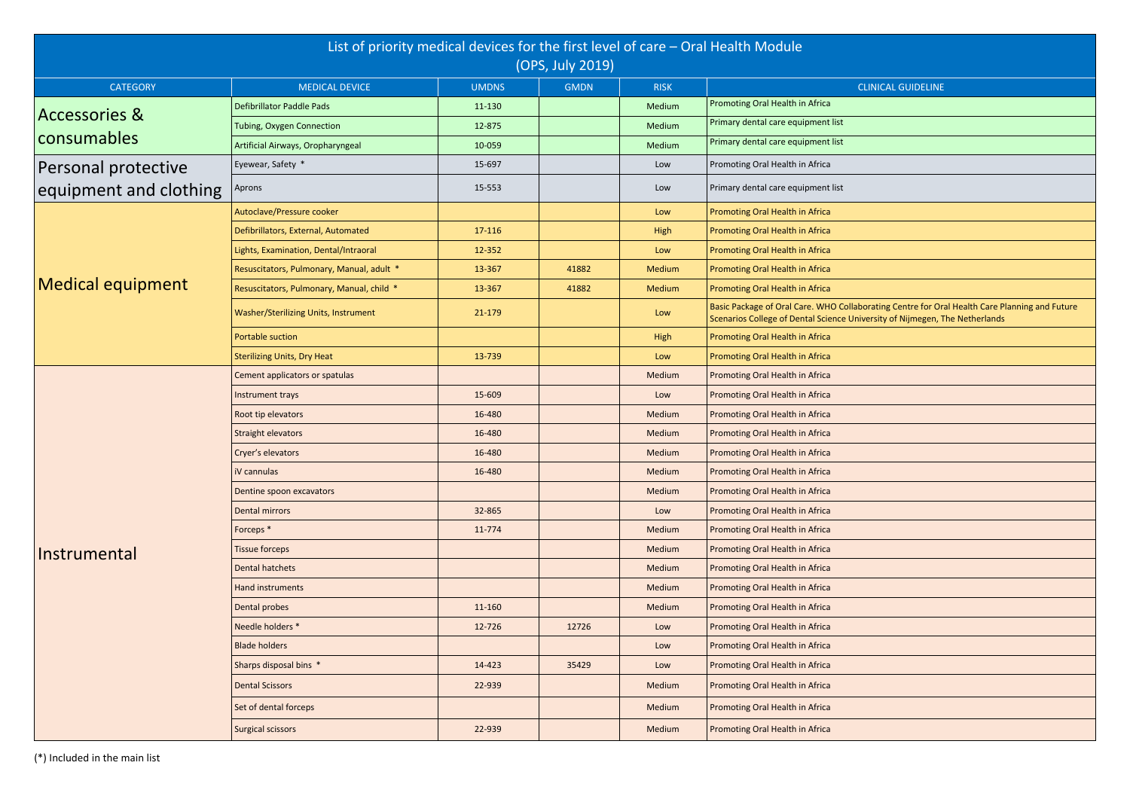Ilaborating Centre for Oral Health Care Planning and Future University of Nijmegen, The Netherlands

|                          | List of priority medical devices for the first level of care - Oral Health Module<br>(OPS, July 2019) |              |             |             |                                                                                     |  |  |  |
|--------------------------|-------------------------------------------------------------------------------------------------------|--------------|-------------|-------------|-------------------------------------------------------------------------------------|--|--|--|
| <b>CATEGORY</b>          | <b>MEDICAL DEVICE</b>                                                                                 | <b>UMDNS</b> | <b>GMDN</b> | <b>RISK</b> |                                                                                     |  |  |  |
|                          | <b>Defibrillator Paddle Pads</b>                                                                      | 11-130       |             | Medium      | Promoting Oral Health in Africa                                                     |  |  |  |
| <b>Accessories &amp;</b> | <b>Tubing, Oxygen Connection</b>                                                                      | 12-875       |             | Medium      | Primary dental care equipment list                                                  |  |  |  |
| consumables              | Artificial Airways, Oropharyngeal                                                                     | 10-059       |             | Medium      | Primary dental care equipment list                                                  |  |  |  |
| Personal protective      | Eyewear, Safety *                                                                                     | 15-697       |             | Low         | Promoting Oral Health in Africa                                                     |  |  |  |
| equipment and clothing   | Aprons                                                                                                | 15-553       |             | Low         | Primary dental care equipment list                                                  |  |  |  |
|                          | Autoclave/Pressure cooker                                                                             |              |             | Low         | Promoting Oral Health in Africa                                                     |  |  |  |
|                          | Defibrillators, External, Automated                                                                   | 17-116       |             | High        | Promoting Oral Health in Africa                                                     |  |  |  |
|                          | Lights, Examination, Dental/Intraoral                                                                 | 12-352       |             | Low         | Promoting Oral Health in Africa                                                     |  |  |  |
|                          | Resuscitators, Pulmonary, Manual, adult *                                                             | 13-367       | 41882       | Medium      | Promoting Oral Health in Africa                                                     |  |  |  |
| Medical equipment        | Resuscitators, Pulmonary, Manual, child *                                                             | 13-367       | 41882       | Medium      | Promoting Oral Health in Africa                                                     |  |  |  |
|                          | Washer/Sterilizing Units, Instrument                                                                  | 21-179       |             | Low         | Basic Package of Oral Care. WHO Col<br><b>Scenarios College of Dental Science L</b> |  |  |  |
|                          | Portable suction                                                                                      |              |             | High        | Promoting Oral Health in Africa                                                     |  |  |  |
|                          | <b>Sterilizing Units, Dry Heat</b>                                                                    | 13-739       |             | Low         | Promoting Oral Health in Africa                                                     |  |  |  |
|                          | Cement applicators or spatulas                                                                        |              |             | Medium      | Promoting Oral Health in Africa                                                     |  |  |  |
|                          | Instrument trays                                                                                      | 15-609       |             | Low         | Promoting Oral Health in Africa                                                     |  |  |  |
|                          | Root tip elevators                                                                                    | 16-480       |             | Medium      | Promoting Oral Health in Africa                                                     |  |  |  |
|                          | <b>Straight elevators</b>                                                                             | 16-480       |             | Medium      | Promoting Oral Health in Africa                                                     |  |  |  |
|                          | Cryer's elevators                                                                                     | 16-480       |             | Medium      | Promoting Oral Health in Africa                                                     |  |  |  |
|                          | iV cannulas                                                                                           | 16-480       |             | Medium      | Promoting Oral Health in Africa                                                     |  |  |  |
|                          | Dentine spoon excavators                                                                              |              |             | Medium      | Promoting Oral Health in Africa                                                     |  |  |  |
|                          | <b>Dental mirrors</b>                                                                                 | 32-865       |             | Low         | Promoting Oral Health in Africa                                                     |  |  |  |
|                          | Forceps <sup>*</sup>                                                                                  | 11-774       |             | Medium      | Promoting Oral Health in Africa                                                     |  |  |  |
| Instrumental             | <b>Tissue forceps</b>                                                                                 |              |             | Medium      | Promoting Oral Health in Africa                                                     |  |  |  |
|                          | <b>Dental hatchets</b>                                                                                |              |             | Medium      | Promoting Oral Health in Africa                                                     |  |  |  |
|                          | Hand instruments                                                                                      |              |             | Medium      | Promoting Oral Health in Africa                                                     |  |  |  |
|                          | Dental probes                                                                                         | 11-160       |             | Medium      | Promoting Oral Health in Africa                                                     |  |  |  |
|                          | Needle holders *                                                                                      | 12-726       | 12726       | Low         | Promoting Oral Health in Africa                                                     |  |  |  |
|                          | <b>Blade holders</b>                                                                                  |              |             | Low         | Promoting Oral Health in Africa                                                     |  |  |  |
|                          | Sharps disposal bins *                                                                                | 14-423       | 35429       | Low         | Promoting Oral Health in Africa                                                     |  |  |  |
|                          | <b>Dental Scissors</b>                                                                                | 22-939       |             | Medium      | Promoting Oral Health in Africa                                                     |  |  |  |
|                          | Set of dental forceps                                                                                 |              |             | Medium      | Promoting Oral Health in Africa                                                     |  |  |  |
|                          | <b>Surgical scissors</b>                                                                              | 22-939       |             | Medium      | Promoting Oral Health in Africa                                                     |  |  |  |